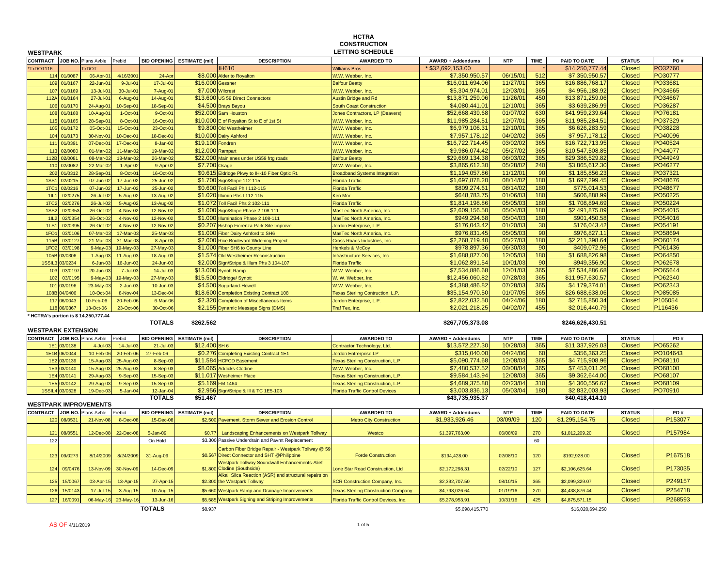|                                     |                |                                       |              |                    |                            |                                                                                             | <b>HCTRA</b><br><b>CONSTRUCTION</b>        |                          |            |             |                  |               |          |
|-------------------------------------|----------------|---------------------------------------|--------------|--------------------|----------------------------|---------------------------------------------------------------------------------------------|--------------------------------------------|--------------------------|------------|-------------|------------------|---------------|----------|
| <b>WESTPARK</b>                     |                |                                       |              |                    |                            |                                                                                             | <b>LETTING SCHEDULE</b>                    |                          |            |             |                  |               |          |
|                                     |                | CONTRACT JOB NO. Plans Avble          | Prebid       |                    | BID OPENING ESTIMATE (mil) | <b>DESCRIPTION</b>                                                                          | <b>AWARDED TO</b>                          | <b>AWARD + Addendums</b> | <b>NTP</b> | <b>TIME</b> | PAID TO DATE     | <b>STATUS</b> | PO#      |
| *TxDOT116                           |                | <b>XDOT</b>                           |              |                    |                            | <b>IH610</b>                                                                                | <b>Williams Bros</b>                       | \$32,692,153.00          |            |             | \$14,250,777.44  | <b>Closed</b> | PO32760  |
| 114                                 | 01/0087        | 06-Apr-01                             | 4/16/2001    | $24-Ap$            |                            | \$8.000 Alder to Royalton                                                                   | N.W. Webber, Inc.                          | \$7,350,950.57           | 06/15/01   | 512         | \$7,350,950.57   | <b>Closed</b> | PO30777  |
| 109                                 | 01/0167        | $22$ -Jun-0                           | 9-Jul-01     | $17 -$ Jul-0       | \$16.000                   | <b>Gessner</b>                                                                              | <b>Balfour Beatty</b>                      | \$16,011,694.06          | 11/27/0'   | 365         | \$16,886,768.17  | <b>Closed</b> | PO33681  |
| 107                                 | 01/0169        | 13-Jul-01                             | 30-Jul-01    | $7 - Aug-0'$       |                            | \$7.000 Wilcrest                                                                            | N.W. Webber, Inc.                          | \$5,304,974.01           | 12/03/01   | 365         | \$4,956,188.92   | <b>Closed</b> | PO34665  |
| 112A                                | 01/0164        | $27 -$ Jul-0                          | 6-Aug-01     | $14$ -Aug-0        | \$13.600                   | <b>JS 59 Direct Connectors</b>                                                              | <b>Nustin Bridge and Rd</b>                | \$13,871,259.06          | 11/26/01   | 450         | \$13,871,259.06  | <b>Closed</b> | PO34667  |
| 106                                 | 01/0170        | $24$ -Aug-0                           | 10-Sep-01    | 18-Sep-01          |                            | \$4.500 Brays Bayou                                                                         | <b>South Coast Construction</b>            | \$4,080,441.01           | 12/10/01   | 365         | \$3,639,286.99   | <b>Closed</b> | PO36287  |
| 108                                 | 01/0168        | $10-Auq-0'$                           | 1-Oct-01     | 9-Oct-01           |                            | \$52.000 Sam Houston                                                                        | Jones Contractors, LP (Deavers)            | \$52,668,439.68          | 01/07/02   | 630         | \$41,959,239.64  | <b>Closed</b> | PO76181  |
| 115                                 | 01/0165        | 28-Sep-0                              | 8-Oct-01     | $16-Oct-0$         |                            | \$10.000 E of Royalton St to E of 1st St                                                    | W.W. Webber, Inc.                          | \$11,985,284.51          | 12/07/01   | 365         | \$11,985,284.51  | <b>Closed</b> | PO37329  |
| 105                                 | 01/0172        | 05-Oct-01                             | 15-Oct-01    | 23-Oct-01          |                            | \$9.800 Old Westheimer                                                                      | N.W. Webber, Inc.                          | \$6,979,106.31           | 12/10/01   | 365         | \$6,626,283.59   | <b>Closed</b> | PO38228  |
| 104                                 | 01/017         | 30-Nov-0                              | 10-Dec-01    | 18-Dec-01          |                            | \$10.000 Dairy Ashford                                                                      | W.W. Webber, Inc.                          | \$7,957,178.12           | 04/02/02   | 365         | \$7,957,178.12   | <b>Closed</b> | PO40096  |
| 111                                 | 01/0391        | 07-Dec-0                              | 17-Dec-01    | 8-Jan-02           | \$19.100 Fondren           |                                                                                             | N.W. Webber, Inc.                          | \$16,722,714.45          | 03/02/02   | 365         | \$16,722,713.95  | <b>Closed</b> | PO40524  |
| 113                                 | 02/0080        | 01-Mar-0                              | 11-Mar-02    | 19-Mar-02          | \$12.000 Rampart           |                                                                                             | W.W. Webber, Inc.                          | \$9,986,074.42           | 05/27/02   | 365         | \$10,547,508.85  | <b>Closed</b> | PO44077  |
| 112B                                | 02/0081        | 08-Mar-0                              | 18-Mar-02    | 26-Mar-02          |                            | \$22.000 Mainlanes under US59 frtg roads                                                    | <b>Balfour Beatty</b>                      | \$29,669,134.38          | 06/03/02   | 365         | \$29,386,529.82  | <b>Closed</b> | PO44949  |
| 110                                 | 02/0082        | 22-Mar-0                              | $1-Apr-02$   | 9-Apr-02           | \$7.700                    | Osage                                                                                       | <b>N.W. Webber, Inc.</b>                   | \$3,865,612.30           | 05/28/0    | 240         | \$3,865,612.30   | <b>Closed</b> | PO46277  |
| 202                                 | 01/0312        | 28-Sep-01                             | 8-Oct-01     | $16-Oct-0$         |                            | \$0.615 Eldridge Pkwy to IH-10 Fiber Optic Rt.                                              | <b>Broadband Systems Integration</b>       | \$1,194,057.86           | 11/12/01   | 90          | \$1,185,856.23   | <b>Closed</b> | PO37321  |
| 1SS <sub>2</sub>                    | 02/0215        | 07-Jun-02                             | 17-Jun-02    | 25-Jun-02          |                            | \$1.700 Sign/Stripe 112-115                                                                 | Florida Traffic                            | \$1,697,878.20           | 08/14/02   | 180         | \$1,697,299.45   | <b>Closed</b> | PO48676  |
| 1TC1                                | 02/0216        | 07-Jun-0                              | 17-Jun-02    | 25-Jun-0           |                            | \$0.600 Toll Facil Ph I 112-115                                                             | Florida Traffic                            | \$809,274.61             | 08/14/02   | 180         | \$775,014.53     | <b>Closed</b> | PO48677  |
| 1IL1                                | 02/027         | 26-Jul-02                             | 5-Aug-02     | 13-Aug-02          |                            | \$1.020 Illumin Phs I 112-115                                                               | <b>Ken Mor</b>                             | \$648,783.75             | 01/06/03   | 180         | \$606,888.99     | <b>Closed</b> | PO50225  |
| 1TC:                                | 02/027         | 26-Jul-0                              | 5-Aug-02     | $13 - A uq - 02$   |                            | \$1.072 Toll Facil Phs 2 102-111                                                            | <b>Florida Traffic</b>                     | \$1,814,198.86           | 05/05/03   | 180         | \$1,708,894.69   | <b>Closed</b> | PO50224  |
| 1SS2                                | 02/035         | 26-Oct-0                              | 4-Nov-02     | 12-Nov-02          |                            | \$1.000 Sign/Stripe Phase 2 108-111                                                         | MasTec North America, Inc.                 | \$2,609,156.50           | 05/04/0    | 180         | \$2.491.875.09   | <b>Closed</b> | PO54015  |
| 1IL2                                | 02/0354        | 26-Oct-02                             | 4-Nov-02     | 12-Nov-02          |                            | \$1.000 Illumination Phase 2 108-111                                                        | MasTec North America, Inc.                 | \$949,294.68             | 05/04/03   | 180         | \$901,450.58     | <b>Closed</b> | PO54016  |
| 1LS1                                | 02/039         | 26-Oct-0                              | 4-Nov-02     | 12-Nov-0           |                            | \$0.207 Bishop Fiorenza Park Site Improve                                                   | Jerdon Enterprise, L.P.                    | \$176,043.42             | 01/20/0    | 30          | \$176,043.42     | <b>Closed</b> | PO54191  |
| 1FO1                                | 03/010         | 07-Mar-0                              | 17-Mar-03    | 25-Mar-0           | \$1.000                    | <b>Fiber Dairy Ashford to SH6</b>                                                           | MasTec North America, Inc.                 | \$976,831.45             | 05/05/0    | 90          | \$976,827.1      | Closed        | PO58694  |
| 115B                                | 03/012         | 21-Mar-03                             | 31-Mar-03    | 8-Apr-0            |                            | \$2.000 Rice Boulevard Widening Project                                                     | Cross Roads Industries, Inc.               | \$2,268,719.40           | 05/27/03   | 180         | \$2,211,398.64   | <b>Closed</b> | PO60174  |
| 1FO:                                | 03/019         | $9-May-6$                             | 19-May-03    | 27-May-0           |                            | \$1.000 Fiber SH6 to County Line                                                            | Henkels & McCoy                            | \$978,897.36             | 06/30/0    | 90          | \$409,072.96     | <b>Closed</b> | PO61436  |
| 105B                                | 3/0306         | $1-Auq-0$                             | 11-Aug-03    | 18-Aug-03          |                            | \$1.574 Old Westheimer Reconstruction                                                       | nfrastructure Services, Inc.               | \$1,688,827.00           | 12/05/0    | 180         | \$1,688,826.98   | <b>Closed</b> | PO64850  |
| 1SSIL3                              | 3/0234         | $6$ -Jun-03                           | 16-Jun-03    | 24-Jun-03          |                            | \$2.000 Sign/Stripe & Illum Phs 3 104-107                                                   | <b>Florida Traffic</b>                     | \$1,062,891.54           | 10/01/03   | 90          | \$949,356.90     | <b>Closed</b> | PO62678  |
| 103                                 | 03/019         | 20-Jun-03                             | 7-Jul-03     | 14-Jul-03          |                            | \$13.000 Synott Ramp                                                                        | W.W. Webber, Inc.                          | \$7,534,886.68           | 12/01/0    | 365         | \$7,534,886.68   | <b>Closed</b> | PO65644  |
| 102                                 | 03/019         | $9-May-0$                             | 19-May-03    | 27-May-0           |                            | \$15.500 Eldridge/ Synott                                                                   | W. W. Webber, Inc.                         | \$12,456,060.82          | 07/28/0    | 365         | \$11,957,630.57  | <b>Closed</b> | PO62340  |
| 101                                 | 03/0196        | 23-May-03                             | $2 - Jun-03$ | 10-Jun-03          |                            | \$4.500 Sugarland-Howell                                                                    | W.W. Webber, Inc.                          | \$4,388,486.82           | 07/28/03   | 365         | \$4,179,374.01   | <b>Closed</b> | PO62343  |
| 108B                                | 04/0406        | 10-Oct-0                              | 8-Nov-04     | $13 - Dec - 04$    |                            | \$18.600 Completion Existing Contract 108                                                   | <b>Texas Sterling Contruction, L.P.</b>    | \$35,154,970.50          | 01/07/05   | 365         | \$26,688,638.06  | <b>Closed</b> | PO85085  |
| 117                                 | 06/0043        | 10-Feb-06                             | 20-Feb-06    | $6-Mar-0$          |                            | \$2.320 Completion of Miscellaneous Items                                                   | erdon Enterprise, L.P.                     | \$2,822,032.50           | 04/24/06   | 180         | \$2.715.850.34   | <b>Closed</b> | P105054  |
|                                     | 118 06/0367    | 13-Oct-06                             | 23-Oct-06    | 30-Oct-06          |                            | \$2.155 Dynamic Message Signs (DMS)                                                         | Traf Tex, Inc.                             | \$2,021,218.25           | 04/02/07   | 455         | \$2,016,440.79   | <b>Closed</b> | P116436  |
|                                     |                | * HCTRA's portion is \$ 14,250,777.44 |              |                    |                            |                                                                                             |                                            |                          |            |             |                  |               |          |
|                                     |                |                                       |              | <b>TOTALS</b>      | \$262.562                  |                                                                                             |                                            | \$267,705,373.08         |            |             | \$246,626,430.51 |               |          |
| <b>WESTPARK EXTENSION</b>           |                |                                       |              |                    |                            |                                                                                             |                                            |                          |            |             |                  |               |          |
| <b>CONTRACT</b> JOB NO. Plans Avble |                |                                       | Prebid       | <b>BID OPENING</b> | <b>ESTIMATE (mil)</b>      | <b>DESCRIPTION</b>                                                                          | <b>AWARDED TO</b>                          | AWARD + Addendums        | <b>NTP</b> | <b>TIME</b> | PAID TO DATE     | <b>STATUS</b> | PO#      |
|                                     | 1E1 03/0138    | $4 -$ Jul $-03$                       | 14-Jul-03    | $21 -$ Jul-03      | \$12.400 SH 6              |                                                                                             | Contractor Technology, Ltd.                | \$13,572,227.30          | 10/28/0    | 365         | \$11,337,926.03  | <b>Closed</b> | PO65262  |
| 1E1B                                | 06/0044        | 10-Feb-06                             | 20-Feb-06    | 27-Feb-06          |                            | \$0.276 Completing Existing Contract 1E1                                                    | lerdon Entrerprise LP                      | \$315,040.00             | 04/24/06   | 60          | \$356,363.25     | <b>Closed</b> | PO104643 |
| 1E2                                 | 3/0139         | $15-Auq-$                             | 25-Aug-03    | $8-Sep-0$          |                            | \$11.584 HCFCD Easement                                                                     | <b>Fexas Sterling Construction, L.P.</b>   | \$5,090,774.68           | 12/08/0    | 365         | \$4,715,908.96   | <b>Closed</b> | PO68110  |
|                                     | 1E3 03/0140    | 15-Aug-03                             | 25-Aug-03    | 8-Sep-03           |                            | \$8.065 Addicks-Clodine                                                                     | N.W. Webber, Inc.                          | \$7,480,537.52           | 03/08/04   | 365         | \$7,453,011.26   | <b>Closed</b> | PO68108  |
| 1E4                                 | 03/0141        | 29-Aug-0                              | 9-Sep-03     | 15-Sep-0           |                            | \$11.017 Wesheimer Place                                                                    | <b>Texas Sterling Construction, L.P.</b>   | \$9.584.143.94           | 12/08/0    | 365         | \$9.362.644.00   | <b>Closed</b> | PO68107  |
| 1E5                                 | 03/0142        | 29-Aug-03                             | 9-Sep-03     | 15-Sep-03          |                            | \$5.169 FM 1464                                                                             | <b>Texas Sterling Construction, L.P.</b>   | \$4,689,375.80           | 02/23/04   | 310         | \$4,360,556.67   | <b>Closed</b> | PO68109  |
|                                     | 1SSIL4 03/0528 | 19-Dec-03                             | 5-Jan-04     | 12-Jan-04          |                            | \$2.956 Sign/Stripe & III & TC 1E5-103                                                      | <b>Florida Traffic Control Devices</b>     | \$3,003,836.13           | 05/03/04   | 180         | \$2,832,003.93   | <b>Closed</b> | PO70910  |
|                                     |                |                                       |              | <b>TOTALS</b>      | \$51.467                   |                                                                                             |                                            | \$43,735,935.37          |            |             | \$40,418,414.10  |               |          |
|                                     |                | <b>WESTPARK IMPROVEMENTS</b>          |              |                    |                            |                                                                                             |                                            |                          |            |             |                  |               |          |
| <b>CONTRACT JOB NO. Plans Avble</b> |                |                                       | Prebid       | <b>BID OPENING</b> | <b>ESTIMATE (mil)</b>      | <b>DESCRIPTION</b>                                                                          | <b>AWARDED TO</b>                          | <b>AWARD + Addendums</b> | <b>NTP</b> | <b>TIME</b> | PAID TO DATE     | <b>STATUS</b> | PO#      |
| 120                                 | 08/0531        | 21-Nov-08                             | 8-Dec-08     | 15-Dec-08          |                            | \$2.500 Pavement, Storm Sewer and Erosion Control                                           | <b>Metro City Construction</b>             | \$1,933,926.46           | 03/09/09   | 120         | \$1,295,154.75   | <b>Closed</b> | P153077  |
|                                     |                |                                       |              |                    |                            |                                                                                             |                                            |                          |            |             |                  |               |          |
| 121                                 | 08/0551        | 12-Dec-08                             | 22-Dec-08    | $5 - Jan-09$       | \$0.77                     | Landscaping Enhancements on Westpark Tollway                                                | Westco                                     | \$1,397,763.00           | 06/08/09   | 270         | \$1,012,209.20   | <b>Closed</b> | P157984  |
| 122                                 |                |                                       |              | On Hold            |                            | \$3.300 Passive Underdrain and Pavmt Replacement                                            |                                            |                          |            | 60          |                  |               |          |
|                                     |                |                                       |              |                    |                            | Carbon Fiber Bridge Repair - Westpark Tollway @ 59                                          |                                            |                          |            |             |                  |               |          |
| 123                                 | 09/0273        | 8/14/2009                             | 8/24/2009    | 31-Aug-09          |                            | \$0.567 Direct Connector and SHT @Philippine                                                | <b>Forde Construction</b>                  | \$194,428.00             | 02/08/10   | 120         | \$192,928.00     | <b>Closed</b> | P167518  |
|                                     |                |                                       |              |                    |                            | <b>Vestpark Tollway Soundwall Enhancements-Alief</b>                                        |                                            |                          |            |             |                  |               |          |
| 124                                 | 09/0476        | 13-Nov-09                             | 30-Nov-09    | 14-Dec-09          |                            | \$1.800 Clodine (Southside)<br><b>Alkali Silca Reaction (ASR) and structural repairs or</b> | one Star Road Construction, Ltd.           | \$2,172,298.31           | 02/22/10   | 127         | \$2,106,625.64   | <b>Closed</b> | P173035  |
| 125                                 | 15/006         | 03-Apr-1                              | 13-Apr-15    | 27-Apr-1           |                            | \$2.300 the Westpark Tollway                                                                | <b>SCR Construction Company, Inc.</b>      | \$2,392,707.50           | 08/10/15   | 365         | \$2,099,329.07   | <b>Closed</b> | P249157  |
|                                     |                |                                       |              |                    |                            |                                                                                             |                                            |                          |            |             |                  |               |          |
| 126                                 | 15/014         | 17-Jul-15                             | 3-Aug-15     | 10-Aug-15          |                            | \$5.660 Westpark Ramp and Drainage Improvements                                             | <b>Texas Sterling Construction Company</b> | \$4,798,026.64           | 01/19/16   | 270         | \$4,438,876.44   | <b>Closed</b> | P254718  |
| 127                                 | 16/009         | 06-May-16                             | 23-May-16    | $13 - Jun-16$      |                            | \$5,585 Westpark Signing and Striping Improvements                                          | Florida Traffic Control Devices, Inc.      | \$5,278,953.91           | 10/31/16   | 425         | \$4,875,571.15   | <b>Closed</b> | P268593  |
|                                     |                |                                       |              | <b>TOTALS</b>      | \$8,937                    |                                                                                             |                                            | \$5,698,415,770          |            |             | \$16,020,694,250 |               |          |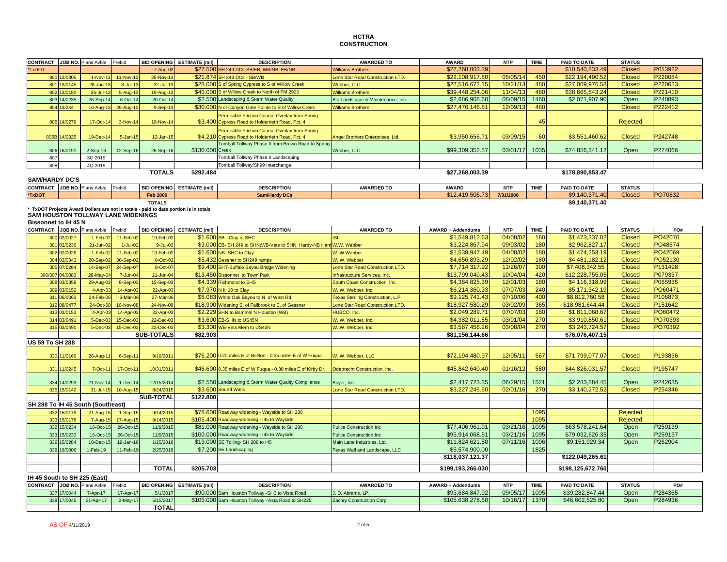## **HCTRACONSTRUCTION**

| <b>CONTRACT</b>                     |              | JOB NO. Plans Avble                       | Prebid          | <b>BID OPENING</b> | <b>ESTIMATE (mil)</b>                                                                | <b>DESCRIPTION</b>                                                  | <b>AWARDED TO</b>                        | <b>AWARD</b>             | <b>NTP</b> | <b>TIME</b>     | PAID TO DATE      | <b>STATUS</b>   |         |
|-------------------------------------|--------------|-------------------------------------------|-----------------|--------------------|--------------------------------------------------------------------------------------|---------------------------------------------------------------------|------------------------------------------|--------------------------|------------|-----------------|-------------------|-----------------|---------|
| *TxDOT                              |              |                                           |                 |                    |                                                                                      |                                                                     |                                          | \$27,268,003.39          |            |                 | \$10,540,833,49   | <b>Closed</b>   | P013922 |
|                                     |              |                                           |                 | 7-Aug-02           |                                                                                      | \$27.500 SH 249 DCs-SB/EB; WB/NB; EB/NB                             | <b>Williams Brothers</b>                 |                          |            |                 |                   |                 |         |
|                                     | 800 13/0305  | $1-Nov-1$                                 | <b>11-Nov-1</b> | 25-Nov-1           |                                                                                      | \$21.874 SH 249 DCs - SB/WB                                         | Lone Star Road Construction LTD.         | \$22,108,917.80          | 05/05/14   | 45 <sub>C</sub> | \$22,194,490.52   | Closed          | P228084 |
|                                     | 801 13/0145  | $28 - Jun-1$                              | $8 -$ Jul-1     | 22-Jul-1           |                                                                                      | \$28.000 S of Spring Cypress to S of Willow Creek                   | Webber, LLC                              | \$27,516,672.15          | 10/21/1    | 480             | \$27,009,976.58   | <b>Closed</b>   | P220623 |
|                                     | 802 13/0180  | $26 -$ Jul-1                              | $5 - Aug - 1$   | 19-Aug-1           |                                                                                      | \$45.000 S of Willow Creek to North of FM 2920                      | <b>Williams Brothers</b>                 | \$39,448,254.06          | 11/04/1    | 480             | \$38,665,843.24   | <b>Closed</b>   | P221410 |
|                                     | 803 14/0235  | 26-Sep-1                                  | 6-Oct-14        | 20-Oct-14          |                                                                                      | \$2.500 Landscaping & Storm Water Quality                           | Bio Landscape & Maintenance, Inc.        | \$2,686,908.60           | 06/09/15   | 1460            | \$2,071,907.90    | Open            | P240893 |
|                                     | 804 13/244   | 16-Aug-1                                  | 26-Aug-13       | 9-Sep-13           |                                                                                      | \$30.000 N of Canyon Gate Pointe to S of Willow Creek               | <b>Williams Brothers</b>                 | \$27,476,146.81          | 12/09/13   | 480             |                   | <b>Closed</b>   | P222412 |
|                                     |              |                                           |                 |                    |                                                                                      | Permeable Friction Course Overlay from Spring-                      |                                          |                          |            |                 |                   |                 |         |
|                                     | 805 14/0279  | 17-Oct-1                                  | 3-Nov-14        | 10-Nov-14          |                                                                                      | \$3.400 Cypress Road to Holderrieth Road, Pct. 4                    |                                          |                          |            | 45              |                   | <b>Rejected</b> |         |
|                                     |              |                                           |                 |                    |                                                                                      | Permeable Friction Course Overlay from Spring-                      |                                          |                          |            |                 |                   |                 |         |
|                                     | 805B 14/0325 | 19-Dec-1                                  | $5 - Jan-15$    | 12-Jan-15          |                                                                                      | \$4,210 Cypress Road to Holderrieth Road, Pct. 4                    | Angel Brothers Enterprises, Ltd.         | \$3,950,656.7            | 03/09/15   | 60              | \$3,551,460.62    | <b>Closed</b>   | P242748 |
|                                     |              |                                           |                 |                    |                                                                                      | <b>Tomball Tollway Phase II from Brown Road to Spring</b>           |                                          |                          |            |                 |                   |                 |         |
|                                     | 806 16/0191  | $2-Sep-16$                                | 12-Sep-16       | 26-Sep-16          | \$130.000 Creek                                                                      |                                                                     | Webber, LLC                              | \$99,309,352.57          | 03/01/17   | 1035            | \$74,856,341.12   | Open            | P274066 |
| 807                                 |              | 3Q 2019                                   |                 |                    |                                                                                      | Tomball Tollway Phase II Landscaping                                |                                          |                          |            |                 |                   |                 |         |
| 808                                 |              | 4Q 2019                                   |                 |                    |                                                                                      | Tomball Tollway/Sh99 Interchange                                    |                                          |                          |            |                 |                   |                 |         |
|                                     |              |                                           |                 | <b>TOTALS</b>      | \$292.484                                                                            |                                                                     |                                          | \$27,268,003.39          |            |                 | \$178,890,853.47  |                 |         |
| <b>SAM/HARDY DC'S</b>               |              |                                           |                 |                    |                                                                                      |                                                                     |                                          |                          |            |                 |                   |                 |         |
| <b>CONTRACT</b> JOB NO. Plans Avble |              |                                           | Prebid          | <b>BID OPENING</b> | <b>ESTIMATE (mil)</b>                                                                | <b>DESCRIPTION</b>                                                  | <b>AWARDED TO</b>                        | <b>AWARD</b>             | <b>NTP</b> | <b>TIME</b>     | PAID TO DATE      | <b>STATUS</b>   |         |
| *TxDOT                              |              |                                           |                 | <b>Feb 2000</b>    |                                                                                      | <b>Sam/Hardy DCs</b>                                                |                                          | \$12,419,506.73          | 7/31/2000  |                 | \$9,140,371.40    | <b>Closed</b>   | PO70832 |
|                                     |              |                                           |                 | <b>TOTALS</b>      |                                                                                      |                                                                     |                                          |                          |            |                 | \$9,140,371.40    |                 |         |
|                                     |              |                                           |                 |                    | * TxDOT Projects Award Dollars are not in totals - paid to date portion is in totals |                                                                     |                                          |                          |            |                 |                   |                 |         |
|                                     |              | <b>SAM HOUSTON TOLLWAY LANE WIDENINGS</b> |                 |                    |                                                                                      |                                                                     |                                          |                          |            |                 |                   |                 |         |
| <b>Bissonnet to IH 45 N</b>         |              |                                           |                 |                    |                                                                                      |                                                                     |                                          |                          |            |                 |                   |                 |         |
| CONTRACT JOB NO. Plans Avble        |              |                                           | Prebid          | <b>BID OPENING</b> | <b>ESTIMATE (mil)</b>                                                                | <b>DESCRIPTION</b>                                                  | <b>AWARDED TO</b>                        | <b>AWARD + Addendums</b> | <b>NTP</b> | <b>TIME</b>     | PAID TO DATE      | <b>STATUS</b>   | PO#     |
| 300                                 | 02/0027      | $1-Feb-0$                                 | 11-Feb-02       | 19-Feb-0           |                                                                                      | \$1.600 SB - Clay to SHC                                            | <b>ISI</b>                               | \$1,549,812.63           | 04/08/02   | 180             | \$1,473,337.02    | <b>Closed</b>   | PO42070 |
|                                     | 301 02/0230  | $21 - Jun-02$                             | $1 -$ Jul- $02$ | 9-Jul-02           |                                                                                      | \$3.000 EB- SH 249 to SHN; WB-Vets to SHN Hardy-NB Hard W.W. Webber |                                          | \$3,224,867.94           | 09/03/0    | 180             | \$2,962,827.17    | <b>Closed</b>   | PO48674 |
| 302                                 | 02/0026      | $1-Feb-0$                                 | 11-Feb-02       | 19-Feb-0           |                                                                                      | \$1.600 NB - SHC to Clay                                            | W. W Webber                              | \$1,539,947.49           | 04/08/0    | 180             | \$1,474,253.19    | <b>Closed</b>   | PO42069 |
| 304                                 | 02/0343      | 20-Sep-0                                  | 30-Sep-02       | 8-Oct-02           |                                                                                      | \$5.432 Gessner to SH249 ramps                                      | W. W. Webber                             | \$4,656,893.29           | 12/02/02   | 180             | \$4,481,182.12    | <b>Closed</b>   | PO52130 |
| 305                                 | 07/0284      | 14-Sep-0                                  | 24-Sep-07       | 8-Oct-07           |                                                                                      | \$9.400 SHT-Buffalo Bayou Bridge Widening                           | Lone Star Road Construction LTD.         | \$7,714,317,92           | 11/26/07   | 300             | \$7,408,342.55    | <b>Closed</b>   | P131498 |
| 306/307                             | 04/0083      | 28-May-0                                  | 7-Jun-04        | $21 - Jun-04$      |                                                                                      | \$13.450 Bissonnet to Town Park                                     | Infrastructure Services, Inc.            | \$13,799,040.43          | 10/04/04   | 420             | \$12,228,755.05   | <b>Closed</b>   | P079337 |
|                                     | 308 03/0359  | 29-Aug-0                                  | 8-Sep-03        | 15-Sep-03          |                                                                                      | \$4.339 Richmond to SHS                                             | South Coast Construction, Inc.           | \$4,384,825.39           | 12/01/03   | 180             | \$4,116,318.99    | <b>Closed</b>   | P065935 |
| 309                                 | 03/0152      | 4-Apr-0                                   | 14-Apr-0        | 22-Apr-0           |                                                                                      | \$7.970 N IH10 to Clay                                              | W. W. Webber, Inc.                       | \$6,214,360.33           | 07/07/0    | 240             | \$5,171,342.19    | <b>Closed</b>   | PO60471 |
|                                     | 311 06/0063  | 24-Feb-0                                  | 6-Mar-06        | 27-Mar-06          |                                                                                      | \$8.083 White Oak Bayou to N. of West Rd                            | <b>Texas Sterling Construction, L.P.</b> | \$9.125.741.43           | 07/10/06   | 400             | \$8.812.760.58    | <b>Closed</b>   | P106873 |
|                                     | 312 08/0477  | 24-Oct-0                                  | 10-Nov-08       | 24-Nov-08          |                                                                                      | \$18.900 Widening S. of Fallbrook to E. of Gessner                  | Lone Star Road Construction LTD.         | \$18,927,580.29          | 03/02/09   | 365             | \$18,981,644.44   | <b>Closed</b>   | P151642 |
|                                     | 313 03/0153  | $4 - Apr - 0$                             | 14-Apr-0        | 22-Apr-03          |                                                                                      | \$2.229 SHN to Bammel N Houston (WB)                                | HUBCO, Inc.                              | \$2,049,289.71           | 07/07/0    | 180             | \$1,811,068.67    | <b>Closed</b>   | PO60472 |
|                                     | 314 03/0491  | $5 - Dec - 0$                             | 15-Dec-03       | 22-Dec-03          |                                                                                      | \$3.600 EB-SHN to US45N                                             | W. W. Webber, Inc.                       | \$4,382,011.55           | 03/01/04   | 270             | \$3,910,850.61    | <b>Closed</b>   | PO70393 |
| 315                                 | 03/0490      | $5 - Dec - 0$                             | 15-Dec-03       | 22-Dec-0           |                                                                                      | \$3.300 WB-Vets Mem to US45N                                        | W. W. Webber, Inc                        | \$3,587,456.26           | 03/08/0    | 270             | \$3,243,724.57    | <b>Closed</b>   | PO70392 |
|                                     |              |                                           |                 | <b>SUB-TOTALS</b>  | \$82.903                                                                             |                                                                     |                                          | \$81,156,144.66          |            |                 | \$76,076,407.15   |                 |         |
| <b>US 59 To SH 288</b>              |              |                                           |                 |                    |                                                                                      |                                                                     |                                          |                          |            |                 |                   |                 |         |
|                                     |              |                                           |                 |                    |                                                                                      |                                                                     |                                          |                          |            |                 |                   |                 |         |
|                                     | 330 11/0160  | 26-Aug-1                                  | 6-Sep-1         | 9/19/2011          |                                                                                      | \$76.200 0.20 miles E of Bellfort - 0.35 miles E of W Fuqua         | W. W. Webber, LLC                        | \$72,194,480.97          | 12/05/1    | 567             | \$71,799,077.07   | <b>Closed</b>   | P193836 |
|                                     |              |                                           |                 |                    |                                                                                      |                                                                     |                                          |                          |            |                 |                   |                 |         |
|                                     | 331 11/0245  | 7-Oct-1                                   | 17-Oct-11       | 10/31/2011         |                                                                                      | \$46.600 0.35 miles E of W Fuqua - 0.30 miles E of Kirby Dr.        | Odebrecht Construction, Inc.             | \$45,842,640.40          | 01/16/12   | 580             | \$44,826,031.57   | <b>Closed</b>   | P195747 |
|                                     |              |                                           |                 |                    |                                                                                      |                                                                     |                                          |                          |            |                 |                   |                 |         |
|                                     | 334 14/0293  | 21-Nov-14                                 | 1-Dec-14        | 12/15/2014         |                                                                                      | \$2.550 Landscaping & Storm Water Quality Compliance                | Boyer, Inc.                              | \$2,417,723.35           | 06/29/15   | 1521            | \$2,283,884.45    | Open            | P242635 |
| 335                                 | 15/0142      | 31-Jul-19                                 | 10-Aug-15       | 8/24/201           |                                                                                      | \$3.600 Sound Walls                                                 | Lone Star Road Construction LTD.         | \$3,227,245.6            | 02/01/16   | 270             | \$3,140,272.52    | <b>Closed</b>   | P254346 |
|                                     |              |                                           |                 | <b>SUB-TOTAL</b>   | \$122.800                                                                            |                                                                     |                                          |                          |            |                 |                   |                 |         |
| SH 288 To IH 45 South (Southeast)   |              |                                           |                 |                    |                                                                                      |                                                                     |                                          |                          |            |                 |                   |                 |         |
|                                     | 332 15/0179  | $21 - Aug - 1$                            | $1-Sep-1$       | 9/14/201           |                                                                                      | \$78,600 Roadway widening - Wayside to SH 288                       |                                          |                          |            | 1095            |                   | Rejected        |         |
|                                     | 333 15/0178  | $7 - Aug - 1$                             | 17-Aug-15       | 9/14/2015          |                                                                                      | \$105.400 Roadway widening - 145 to Wayside                         |                                          |                          |            | 1095            |                   | <b>Rejected</b> |         |
|                                     | 332 15/0234  | 16-Oct-1                                  | 26-Oct-1        | 11/9/2015          |                                                                                      | \$81.000 Roadway widening - Wayside to SH 288                       | <b>Pulice Construction Inc.</b>          | \$77,406,961.91          | 03/21/16   | 1095            | \$63,578,241.64   | Open            | P259139 |
|                                     | 333 15/0233  | 16-Oct-1                                  | 26-Oct-1        | 11/9/2015          |                                                                                      | \$100.000 Roadway widening - I45 to Wayside                         | <b>Pulice Construction Inc</b>           | \$95,914,068.51          | 03/21/16   | 1095            | \$79,032,626.35   | Open            | P259137 |
|                                     | 336 15/0284  | 18-Dec-1                                  | 19-Jan-10       | 1/25/2016          |                                                                                      | \$13.000 SE Tolling- SH 288 to I45                                  | Main Lane Industries, Ltd.               | \$11,824,621.50          | 07/11/16   | 1096            | \$9,151,929.34    | Open            | P262904 |
|                                     | 339 19/0006  | 1-Feb-19                                  | 11-Feb-19       | 2/25/2019          |                                                                                      | \$7.200 SE Landscaping                                              | Texas Wall and Landscape, LLC            | \$5,574,900.00           |            | 1825            |                   |                 |         |
|                                     |              |                                           |                 |                    |                                                                                      |                                                                     |                                          | \$118,037,121.37         |            |                 | \$122,049,265.61  |                 |         |
|                                     |              |                                           |                 |                    |                                                                                      |                                                                     |                                          |                          |            |                 |                   |                 |         |
|                                     |              |                                           |                 | <b>TOTAL</b>       | \$205.703                                                                            |                                                                     |                                          | \$199,193,266.030        |            |                 | \$198,125,672.760 |                 |         |
| IH 45 South to SH 225 (East)        |              |                                           |                 |                    |                                                                                      |                                                                     |                                          |                          |            |                 |                   |                 |         |
|                                     |              |                                           |                 |                    | $\sim$                                                                               |                                                                     |                                          |                          |            |                 |                   |                 |         |

| <b>CONTRACT</b> |             | JOB NO. Plans Avble Prebi |            |              | <b>BID OPENING ESTIMATE (mil)</b> | <b>DESCRIPTION</b>                                  | <b>AWARDED TO</b>         | AWARD + Addendums | NTF      | <b>TIME</b> | PAID TO DATE    | <b>STATUS</b> | PO#     |
|-----------------|-------------|---------------------------|------------|--------------|-----------------------------------|-----------------------------------------------------|---------------------------|-------------------|----------|-------------|-----------------|---------------|---------|
|                 | 337 17/0044 | 7-Apr-17                  | 17-Apr-17  | 5/1/2017     |                                   | \$90,000 Sam Houston Tollway - SH3 to Vista Road    | J. D. Abrams, LP.         | \$93.684.847.92   | 09/05/17 | 1095        | \$39,282,847.44 | Oper.         | P284365 |
|                 |             | 338 17/0045 21-Apr-17     | $2-Mav-17$ | 5/15/2017    |                                   | \$105.000 Sam Houston Tollway - Vista Road to SH225 | Zachry Construction Corp. | \$105.638.278.60  | 10/16/17 | 1370        | \$46,602,525.80 | Oper          | P284936 |
|                 |             |                           |            | <b>TOTAL</b> |                                   |                                                     |                           |                   |          |             |                 |               |         |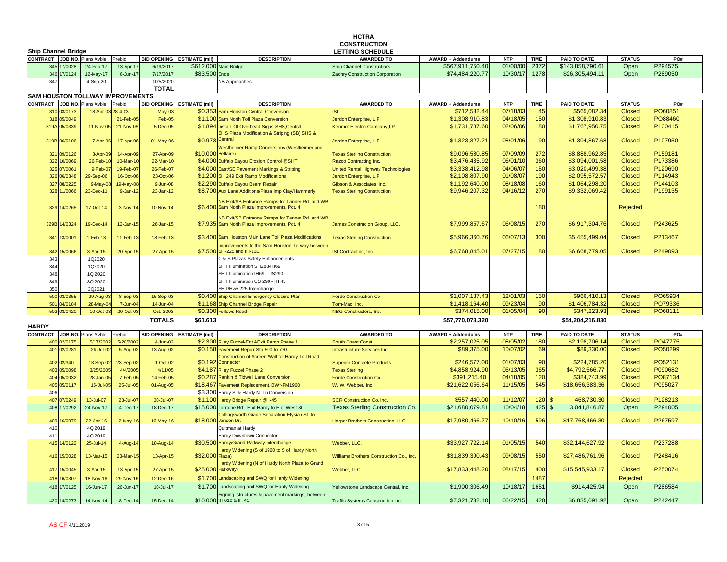|                                         |             |               |                    |                            |                                                                             | <b>HCTRA</b><br><b>CONSTRUCTION</b>             |                          |            |             |                    |                 |         |
|-----------------------------------------|-------------|---------------|--------------------|----------------------------|-----------------------------------------------------------------------------|-------------------------------------------------|--------------------------|------------|-------------|--------------------|-----------------|---------|
| <b>Ship Channel Bridge</b>              |             |               |                    |                            |                                                                             | <b>LETTING SCHEDULE</b>                         |                          |            |             |                    |                 |         |
| CONTRACT JOB NO. Plans Avble            |             | Prebid        | <b>BID OPENING</b> | <b>ESTIMATE (mil)</b>      | <b>DESCRIPTION</b>                                                          | <b>AWARDED TO</b>                               | <b>AWARD + Addendums</b> | <b>NTP</b> | <b>TIME</b> | PAID TO DATE       | <b>STATUS</b>   | PO#     |
| 345 17/0028                             | 24-Feb-17   | 13-Apr-17     | 6/19/2011          |                            | \$612.000 Main Bridge                                                       | <b>Ship Channel Constructiors</b>               | \$567,911,750.40         | 01/00/00   | 2372        | \$143,858,790.61   | Open            | P294575 |
| 346 17/0124                             | 12-May-17   | 6-Jun-17      | 7/17/2017          | \$83.500 Ends              |                                                                             | Zachry Construction Corporation                 | \$74,484,220.77          | 10/30/17   | 1278        | \$26,305,494.11    | Open            | P289050 |
| 347                                     | 4-Sep-20    |               | 10/5/2020          |                            | <b>NB Approaches</b>                                                        |                                                 |                          |            |             |                    |                 |         |
|                                         |             |               | <b>TOTAL</b>       |                            |                                                                             |                                                 |                          |            |             |                    |                 |         |
| <b>SAM HOUSTON TOLLWAY IMPROVEMENTS</b> |             |               |                    |                            |                                                                             |                                                 |                          |            |             |                    |                 |         |
| <b>CONTRACT</b> JOB NO. Plans Avble     |             | Prebid        |                    | BID OPENING ESTIMATE (mil) | <b>DESCRIPTION</b>                                                          | <b>AWARDED TO</b>                               | <b>AWARD + Addendums</b> | <b>NTP</b> | <b>TIME</b> | PAID TO DATE       | <b>STATUS</b>   | PO#     |
| 310 03/0173                             | 18-Apr-03   | $28 - 4 - 03$ | $May-0$            | \$0.353                    | <b>Sam Houston Central Conversion</b>                                       | ISI                                             | \$712,532.44             | 07/18/03   | 45          | \$565,082.34       | <b>Closed</b>   | PO60851 |
| 318 05/0049                             |             | 21-Feb-0      | Feb-0              | \$1.100                    | Sam North Toll Plaza Conversion                                             | Jerdon Enterprise, L.P.                         | \$1,308,910.8            | 04/18/05   | 150         | \$1,308,910.83     | <b>Closed</b>   | PO88460 |
| 319A 05/0339                            | 11-Nov-05   | 21-Nov-05     | 5-Dec-05           | \$1.894                    | Install. Of Overhead Signs-SHS, Central                                     | Kenmor Electric Company, LP                     | \$1,731,787.60           | 02/06/06   | 180         | \$1,767,950.75     | <b>Closed</b>   | P100415 |
|                                         |             |               |                    |                            | SHS Plaza Modification & Striping (SB) SHS &                                |                                                 |                          |            |             |                    |                 |         |
| 319B 06/0106                            | 7-Apr-06    | 17-Apr-06     | 01-May-06          | \$0.973 Central            |                                                                             | lerdon Enterprise, L.P.                         | \$1,323,327.21           | 08/01/06   | 90          | \$1,304,867.68     | <b>Closed</b>   | P107950 |
|                                         |             |               |                    |                            | <b>Nestheimer Ramp Conversions (Westheimer and</b>                          |                                                 |                          |            |             |                    |                 |         |
| 321 09/0126                             | 3-Apr-0     | 14-Apr-09     | 27-Apr-09          | \$10,000 Bellaire)         |                                                                             | <b>Fexas Sterling Construction</b>              | \$9,096,580.85           | 07/09/09   | 272         | \$8,888,962.85     | <b>Closed</b>   | P159181 |
| 322 10/0069                             | 26-Feb-1    | 10-Mar-10     | 22-Mar-10          |                            | \$4.000 Buffalo Bayou Erosion Control @SHT                                  | Razco Contracting Inc.                          | \$3,476,435.92           | 06/01/10   | 360         | \$3,094,001.58     | <b>Closed</b>   | P173386 |
| 325 07/0061                             | $9-Feb-0$   | 19-Feb-07     | 26-Feb-0           |                            | \$4.000 East/SE Pavement Markings & Striping                                | <b>Jnited Rental Highway Technologies</b>       | \$3,338,412.98           | 04/06/07   | 150         | \$3,020,499.38     | <b>Closed</b>   | P120690 |
| 326 06/0348                             | 29-Sep-06   | 16-Oct-06     | 23-Oct-0           |                            | \$1.200 SH 249 Exit Ramp Modifications                                      | erdon Enterprise, L.P.                          | \$2,108,807.90           | 01/08/07   | 190         | \$2,095,572.57     | <b>Closed</b>   | P114943 |
| 327 08/0225                             | $9-May-0$   | 19-May-08     | $9 - Jun-08$       |                            | \$2.290 Buffalo Bayou Beam Repair                                           | Gibson & Associates, Inc.                       | \$1,192,640.00           | 08/18/08   | 160         | \$1,064,298.20     | <b>Closed</b>   | P144103 |
| 328<br>11/0066                          | 23-Dec-11   | 9-Jan-12      | $23$ -Jan-1        |                            | \$8.700 Aux Lane Additions/Plaza Imp Clay/Hammerly                          | <b>Texas Sterling Construction</b>              | \$9,946,207.32           | 04/16/1    | 270         | \$9,332,069.42     | <b>Closed</b>   | P199135 |
|                                         |             |               |                    |                            | NB Exit/SB Entrance Ramps for Tanner Rd. and WB                             |                                                 |                          |            |             |                    |                 |         |
| 329<br>14/0265                          | 17-Oct-14   | 3-Nov-14      | 10-Nov-14          |                            | \$6.400 Sam North Plaza Improvements, Pct. 4                                |                                                 |                          |            | 180         |                    | Rejected        |         |
|                                         |             |               |                    |                            | <b>IB Exit/SB Entrance Ramps for Tanner Rd. and WB</b>                      |                                                 |                          |            |             |                    |                 |         |
| 14/0324<br>329B                         | 19-Dec-14   | 12-Jan-15     | 26-Jan-15          |                            | \$7.935 Sam North Plaza Improvements, Pct. 4                                | lames Construcion Group, LLC.                   | \$7,999,857.67           | 06/08/15   | 270         | \$6,917,304.76     | <b>Closed</b>   | P243625 |
|                                         |             |               |                    |                            |                                                                             |                                                 |                          |            |             |                    |                 |         |
| 341 13/0001                             | 1-Feb-13    | 11-Feb-13     | 18-Feb-13          |                            | \$3.400 Sam Houston Main Lane Toll Plaza Modifications                      | <b>Texas Sterling Construction</b>              | \$5,966,360.76           | 06/07/13   | 300         | \$5,455,499.04     | <b>Closed</b>   | P213467 |
|                                         |             |               |                    |                            | mprovements to the Sam Houston Tollway between                              |                                                 |                          |            |             |                    |                 |         |
| 342<br>15/0066                          | 3-Apr-15    | 20-Apr-15     | 27-Apr-15          |                            | \$7.500 SH-225 and IH-10E                                                   | ISI Contracting, Inc.                           | \$6,768,845.01           | 07/27/15   | 180         | \$6,668,779.05     | <b>Closed</b>   | P249093 |
| 343                                     | 1Q2020      |               |                    |                            | 3 & S Plazas Safety Enhancements                                            |                                                 |                          |            |             |                    |                 |         |
| 344                                     | 1Q2020      |               |                    |                            | SHT Illumination SH288-IH69                                                 |                                                 |                          |            |             |                    |                 |         |
| 348                                     | 1Q 2020     |               |                    |                            | SHT Illumination IH69 - US290                                               |                                                 |                          |            |             |                    |                 |         |
| 349                                     | 3Q 2020     |               |                    |                            | SHT Illumination US 290 - IH 45                                             |                                                 |                          |            |             |                    |                 |         |
| 350                                     | 3Q2021      |               |                    |                            | SHT/Hwy 225 Interchange                                                     |                                                 |                          |            |             |                    |                 |         |
| 500 03/0355                             | 29-Aug-0    | 8-Sep-03      | 15-Sep-03          |                            | \$0.400 Ship Channel Emergency Closure Plan                                 | Forde Construction Co                           | \$1,007,187.43           | 12/01/03   | 150         | \$966,410.13       | <b>Closed</b>   | PO65934 |
| 501 04/0184                             | 28-May-04   | 7-Jun-04      | 14-Jun-04          |                            | \$1.168 Ship Channel Bridge Repair                                          | Tom-Mac, Inc.                                   | \$1,418,164.40           | 09/23/04   | 90          | \$1,406,784.32     | <b>Closed</b>   | PO79336 |
| 502 03/0420                             | 10-Oct-03   | 20-Oct-03     | Oct. 2003          |                            | \$0.300 Fellows Road                                                        | NBG Constructors, Inc.                          | \$374,015.00             | 01/05/04   | 90          | \$347,223.93       | <b>Closed</b>   | PO68111 |
|                                         |             |               | <b>TOTALS</b>      | \$61.613                   |                                                                             |                                                 | \$57,770,073.320         |            |             | \$54,204,216.830   |                 |         |
| <b>HARDY</b>                            |             |               |                    |                            |                                                                             |                                                 |                          |            |             |                    |                 |         |
| <b>CONTRACT</b><br>JOB NO.              | Plans Avble | Prebid        | <b>BID OPENING</b> | <b>ESTIMATE (mil)</b>      | <b>DESCRIPTION</b>                                                          | <b>AWARDED TO</b>                               | <b>AWARD + Addendums</b> | <b>NTP</b> | <b>TIME</b> | PAID TO DATE       | <b>STATUS</b>   | PO#     |
| 2/0175<br>400                           | 5/17/200    | 5/28/200      | $4 - Jun-02$       |                            | \$2.300 Riley Fuzzel-Ent.&Exit Ramp Phase 1                                 | <b>South Coast Const.</b>                       | \$2,257,025.0            | 08/05/02   | 180         | \$2,198,706.14     | <b>Closed</b>   | PO47775 |
| 401 02/0281                             | 26-Jul-02   | 5-Aug-02      | 13-Aug-02          |                            | \$0.158 Pavement Repair Sta 500 to 770                                      | <b>Infrastructure Services Inc</b>              | \$89,375.00              | 10/07/02   | 69          | \$89,330.00        | <b>Closed</b>   | PO50299 |
|                                         |             |               |                    |                            | Construction of Screen Wall for Hardy Toll Road                             |                                                 |                          |            |             |                    |                 |         |
| 402 02/340                              | 13-Sep-0    | 23-Sep-02     | $1-Oct-02$         | \$0.192                    | Connector                                                                   | <b>Superior Concrete Products</b>               | \$246,577.00             | 01/07/03   | 90          | \$224,785.20       | <b>Closed</b>   | PO52131 |
| 403 05/0098                             | 3/25/200    | 4/4/2005      | 4/11/05            |                            | \$4.187 Riley Fuzzel Phase 2                                                | <b>Texas Sterling</b>                           | \$4,858,924.90           | 06/13/05   | 365         | \$4,792,566.77     | <b>Closed</b>   | P090682 |
| 404 05/0032                             | 28-Jan-0    | 7-Feb-05      | 14-Feb-0           |                            | \$0.287 Rankin & Tidwell Lane Conversion                                    | <b>Forde Construction Co.</b>                   | \$391,215.40             | 04/18/05   | 120         | \$384,743.99       | <b>Closed</b>   | PO87134 |
| 405<br>05/0117                          | 15-Jul-0    | 25-Jul-05     | 01-Aug-05          |                            | \$18.467 Pavement Replacement, BW*-FM1960                                   | N. W. Webber, Inc.                              | \$21,622,056.64          | 11/15/05   | 545         | \$18,656,383.36    | <b>Closed</b>   | P095027 |
| 406                                     |             |               |                    |                            | \$3.300 Hardy S. & Hardy N. Ln Conversion                                   |                                                 |                          |            |             |                    |                 |         |
| 407 07/0249                             | 13-Jul-07   | 23-Jul-07     | 30-Jul-07          |                            | \$1.100 Hardy Bridge Repair @ I-45                                          | <b>SCR Construction Co. Inc.</b>                | \$557,440.0              | 11/12/0    | 120         | 468,730.30<br>. ድ  | <b>Closed</b>   | P128213 |
| 408<br>17/0292                          | 24-Nov-17   | 4-Dec-17      | 18-Dec-17          |                            | \$15.000 Lorraine Rd - E of Hardy to E of West St.                          | <b>Texas Sterling Construction Co.</b>          | \$21,680,079.81          | 10/04/18   | 425         | 3,041,846.87<br>\$ | Open            | P294005 |
|                                         |             |               |                    |                            | Collingsworth Grade Separation-Elysian St. to                               |                                                 |                          |            |             |                    |                 |         |
| 16/0079<br>409                          | 22-Apr-16   | $2-May-16$    | 16-May-16          | \$18.000 Jensen Dr.        |                                                                             | Harper Brothers Construction, LLC               | \$17,980,466.77          | 10/10/16   | 596         | \$17,768,466.30    | <b>Closed</b>   | P267597 |
| 410                                     | 4Q 2019     |               |                    |                            | Quitman at Hardy                                                            |                                                 |                          |            |             |                    |                 |         |
| 411                                     | 4Q 2019     |               |                    |                            | Hardy Downtown Connector                                                    |                                                 |                          |            |             |                    |                 |         |
| 415 14/0122                             | 25-Jul-14   | 4-Aug-14      | 18-Aug-14          |                            | \$30.500 Hardy/Grand Parkway Interchange                                    | Webber, LLC.                                    | \$33,927,722.14          | 01/05/15   | 540         | \$32,144,627.92    | <b>Closed</b>   | P237288 |
|                                         |             |               |                    |                            | Hardy Widening (S of 1960 to S of Hardy North                               |                                                 |                          |            |             |                    |                 |         |
| 416 15/0028                             | 13-Mar-15   | 23-Mar-15     | 13-Apr-15          | \$32,000 Plaza)            |                                                                             | <b>Williams Brothers Construction Co., Inc.</b> | \$31,839,390.43          | 09/08/15   | 550         | \$27,486,761.96    | <b>Closed</b>   | P248416 |
| 417 15/0045                             | 3-Apr-15    | 13-Apr-15     | 27-Apr-1           | \$25.000 Parkway)          | Hardy Widening (N of Hardy North Plaza to Grand                             | Webber, LLC.                                    | \$17,833,448.20          | 08/17/15   | 400         | \$15,545,933.17    | <b>Closed</b>   | P250074 |
| 16/0307<br>418                          |             |               |                    | \$1.700                    | Landscaping and SWQ for Hardy Widening                                      |                                                 |                          |            | 1487        |                    |                 |         |
|                                         | 18-Nov-16   | 29-Nov-16     | 12-Dec-1           |                            |                                                                             |                                                 |                          |            |             |                    | <b>Rejected</b> |         |
| 418 17/0125                             | 16-Jun-17   | 26-Jun-17     | 10-Jul-17          |                            | \$1.700 Landscaping and SWQ for Hardy Widening                              | Yellowstone Landscape Central, Inc.             | \$1,900,306.49           | 10/18/17   | 1651        | \$914,425.94       | Open            | P286584 |
| 420 14/0273                             |             |               |                    |                            | Signing, structures & pavement markings, between<br>\$10.000 IH 610 & IH 45 |                                                 | \$7,321,732.10           | 06/22/15   | 420         |                    | Open            | P242447 |
|                                         | 14-Nov-14   | 8-Dec-14      | 15-Dec-14          |                            |                                                                             | Traffic Systems Construction Inc.               |                          |            |             | \$6,835,091.92     |                 |         |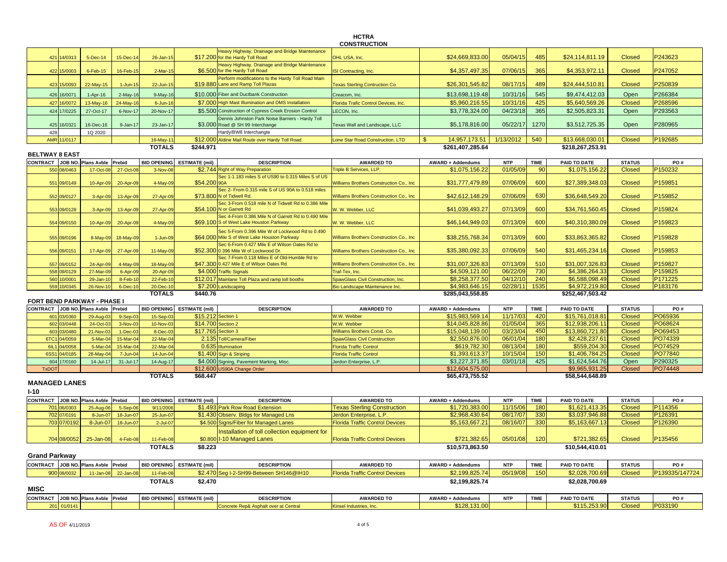## **HCTRA**

| Heavy Highway, Drainage and Bridge Maintenance<br>\$24,669,833.00<br>05/04/15<br>485<br>P243623<br>\$17.200 for the Hardy Toll Road<br>\$24,114,811.19<br><b>Closed</b><br>421<br>14/0313<br>5-Dec-14<br>15-Dec-14<br>26-Jan-15<br>OHL USA, Inc.<br>Heavy Highway, Drainage and Bridge Maintenance<br>07/06/15<br>365<br>P247052<br>\$6.500 for the Hardy Toll Road<br>\$4,357,497.35<br>\$4,353,972.11<br><b>Closed</b><br>422 15/0003<br>6-Feb-15<br>16-Feb-15<br>$2-Mar-15$<br><b>SI Contracting, Inc.</b><br>Perform modifications to the Hardy Toll Road Main<br>\$19.880 Lane and Ramp Toll Plazas<br>\$26,301,545.82<br>08/17/15<br>489<br>\$24,444,510.81<br><b>Closed</b><br>P250839<br>22-May-15<br>423<br>15/0093<br>$1 - Jun-15$<br>22-Jun-15<br><b>Texas Sterling Contruction Co.</b><br>545<br>426<br>16/0071<br>\$10.000 Fiber and Ductbank Construction<br>\$13,698,119.48<br>10/31/16<br>\$9,474,412.03<br>Open<br>P266384<br>1-Apr-16<br>$2-May-16$<br>$9-May-16$<br>Creacom, Inc.<br>\$7,000 High Mast Illumination and DMS Installation<br>\$5,960,216.55<br>10/31/16<br>425<br>\$5,640,569.26<br><b>Closed</b><br>P268596<br>13-May-16<br>427<br>16/0072<br>24-May-16<br>$6 - Jun-16$<br>Florida Trafic Control Devices, Inc.<br>04/23/18<br>365<br>424<br>17/0225<br>27-Oct-17<br>\$5.500 Construction of Cypress Creek Erosion Control<br>\$3,778,324.00<br>\$2,505,823.31<br>P293563<br>6-Nov-17<br>20-Nov-17<br>LECON, Inc.<br>Open<br>Dennis Johnston Park Noise Barriers - Hardy Toll<br>16/0321<br>\$3.000 Road @ SH 99 Interchange<br>\$5,178,816.00<br>05/22/17<br>1270<br>\$3,512,725.35<br>Open<br>P280965<br>425<br>16-Dec-16<br>$9 - Jan-17$<br>23-Jan-17<br>Texas Wall and Landscape, LLC<br>Hardy/BW8 Interchangte<br>428<br>1Q 2020<br>\$12.000 Aldine Mail Route over Hardy Toll Road<br>$\mathbf{s}$<br>14,957,173.51<br>1/13/2012<br>540<br>\$13,668,030.01<br><b>Closed</b><br>P192685<br>AMR 11/0117<br>16-May-11<br>Lone Star Road Construction, LTD<br><b>TOTALS</b><br>\$244.971<br>\$261,407,285.64<br>\$218,267,253.91<br><b>BELTWAY 8 EAST</b><br>CONTRACT JOB NO. Plans Avble<br>Prebid<br>BID OPENING ESTIMATE (mil)<br><b>DESCRIPTION</b><br><b>AWARDED TO</b><br><b>AWARD + Addendums</b><br><b>NTP</b><br><b>TIME</b><br>PAID TO DATE<br><b>STATUS</b><br>PO#<br>01/05/09<br>\$1,075,156.22<br>\$1,075,156.22<br><b>Closed</b><br>P150232<br>08/0463<br>17-Oct-08<br>27-Oct-08<br>\$2.744 Right of Way Preparation<br>Triple B Services, LLP.<br>90<br>550<br>3-Nov-08<br>Sec 1-1.183 miles S of US90 to 0.315 Miles S of US<br>600<br>P159851<br>\$31,777,479.89<br>07/06/09<br>\$27,389,348.03<br><b>Closed</b><br>551<br>09/0149<br>10-Apr-09<br>20-Apr-09<br>4-May-09<br>\$54.200 90A<br>Williams Brothers Construction Co., Inc.<br>Sec 2- From 0.315 mile S of US 90A to 0.518 miles<br>07/06/09<br>630<br><b>Closed</b><br>P159852<br>\$73.800 N of Tidwell Rd.<br><b>Nilliams Brothers Construction Co., Inc.</b><br>\$42,612,148.29<br>\$36,648,549.20<br>552 09/0127<br>13-Apr-09<br>27-Apr-09<br>3-Apr-09<br>Sec 3-From 0.518 mile N of Tidwell Rd to 0.386 Mile<br>\$54,100 N or Garrett Rd<br>07/13/09<br><b>600</b><br>\$34,761,560.45<br>P159824<br>553 09/0128<br>3-Apr-09<br>13-Apr-09<br>27-Apr-09<br>W. W. Webber, LLC<br>\$41,039,493.27<br>Closed<br>Sec 4-From 0.386 Mile N of Garrett Rd to 0.490 Mile<br>600<br>\$69.100 S of West Lake Houston Parkway<br>\$46,144,949.03<br>07/13/09<br>\$40,310,380.09<br>Closed<br>P159823<br>554 09/0150<br>10-Apr-09<br>20-Apr-09<br>4-May-09<br>W. W. Webber, LLC<br>Sec 5-From 0.396 Mile W of Lockwood Rd to 0.490<br>600<br>P159828<br>\$38,255,768.34<br>07/13/09<br>\$33,863,365.82<br><b>Closed</b><br>555 09/0196<br>8-May-09<br>18-May-09<br>\$64.000 Mile S of West Lake Houston Parkway<br>Williams Brothers Construction Co., Inc.<br>1-Jun-09<br>Sec 6-From 0.427 Mile E of Wilson Oates Rd to<br>07/06/09<br>540<br>P159853<br>\$52.300 0.396 Mile W of Lockwood Dr.<br>\$35,380,092.33<br>\$31,465,234.16<br><b>Closed</b><br>556 09/0151<br>17-Apr-09<br>27-Apr-09<br>11-May-09<br><b>Williams Brothers Construction Co., Inc.</b><br>Sec 7-From 0.118 Miles E of Old-Humble Rd to<br>\$47.300 0.427 Mile E of Wilson Oates Rd.<br><b>Williams Brothers Construction Co., Inc.</b><br>\$31,007,326.83<br>07/13/09<br>510<br>\$31,007,326.83<br><b>Closed</b><br>P159827<br>557 09/0152<br>24-Apr-09<br>4-May-09<br>18-May-09<br>06/22/09<br>558 09/0129<br>27-Mar-0<br>\$4.000 Traffic Signals<br>\$4,509,121.00<br>730<br>\$4,386,264.33<br><b>Closed</b><br>P159825<br>6-Apr-09<br>20-Apr-09<br>Traf-Tex, Inc.<br>240<br>P171225<br>\$12.017 Mainlane Toll Plaza and ramp toll booths<br>\$8,258,377.50<br>04/12/10<br>\$6,588,098.49<br><b>Closed</b><br>560<br>10/0001<br>$29 - Jan-1$<br>$8-Feb-1$<br>22-Feb-1<br>SpawGlass Civil Construction, Inc.<br>\$4,983,646.15<br>02/28/11<br>1535<br>\$4,972,219.80<br><b>Closed</b><br>P183176<br>559 10/0345<br>26-Nov-10<br>6-Dec-10<br>20-Dec-10<br>\$7.200 Landscaping<br>Bio Landscape Maintenance Inc.<br><b>TOTALS</b><br>\$440.76<br>\$285,043,558.85<br>\$252,467,503.42<br><b>FORT BEND PARKWAY - PHASE I</b><br>BID OPENING ESTIMATE (mil)<br>AWARD + Addendums<br><b>NTP</b><br><b>TIME</b><br>PAID TO DATE<br>CONTRACT JOB NO. Plans Avble<br>Prebid<br><b>DESCRIPTION</b><br><b>AWARDED TO</b><br><b>STATUS</b><br>PO#<br>PO65936<br>\$15,761,018.81<br>03/0360<br>\$15.212 Section 1<br>W.W. Webber<br>\$15,983,569.14<br>11/17/03<br>420<br><b>Closed</b><br>601<br>29-Aug-0<br>$9-Sep-0$<br>15-Sep-03<br>365<br>\$14.700 Section 2<br>\$14.045.828.86<br>01/05/04<br>PO68624<br>602<br>03/0448<br>24-Oct-0<br>$3-Nov-0$<br>10-Nov-03<br>W.W. Webber<br>\$12,938,206.11<br>Closed<br>\$17.765 Section 3<br>\$15,048,139.00<br>03/23/04<br>450<br>\$13,860,721.80<br>PO69453<br>603 03/0480<br>21-Nov-0<br>1-Dec-03<br>8-Dec-03<br>Williams Brothers Const. Co.<br>Closed<br>180<br>6TC1<br>04/0059<br>5-Mar-0<br>15-Mar-04<br>22-Mar-04<br>2.135 Toll/Camera/Fiber<br>\$2,550,876.00<br>06/01/04<br>\$2,428,237.61<br>Closed<br>PO74339<br><b>SpawGlass Civil Construction</b><br>08/13/04<br>180<br>PO74529<br>04/0058<br>\$619,782.30<br>\$559,204.30<br><b>Closed</b><br>6IL1<br>$5-Mar-0$<br>15-Mar-04<br>22-Mar-04<br>0.635 Illumination<br>Florida Traffic Control<br>150<br>PO77840<br>\$1,393,613.37<br>10/15/04<br>\$1,406,784.25<br>Closed<br>6SS1<br>04/0185<br>28-May-0<br>7-Jun-04<br>14-Jun-04<br>\$1.400 Sign & Striping<br><b>Florida Traffic Control</b><br>\$3,227,371.85<br>03/01/18<br>425<br>P290325<br>17/0160<br>14-Jul-17<br>31-Jul-17<br>14-Aug-17<br>\$4.000 Signing, Pavement Marking, Misc<br>\$1,624,544.76<br>Open<br>604<br>Jerdon Enterprise, L.P.<br>PO74448<br>\$12,600 US90A Change Order<br>\$12,604,575.00<br>\$9.965.931.25<br>Closed<br><b>TxDOT</b><br><b>TOTALS</b><br>\$68,447<br>\$65,473,755.52<br>\$58,544,648.89<br><b>MANAGED LANES</b><br>$I-10$<br>CONTRACT JOB NO. Plans Avble<br>Prebid<br>BID OPENING ESTIMATE (mil)<br><b>TIME</b><br>PAID TO DATE<br><b>DESCRIPTION</b><br><b>AWARDED TO</b><br>AWARD + Addendums<br><b>NTP</b><br><b>STATUS</b><br>PO#<br>P114356<br>701 06/0303<br>\$1.493 Park Row Road Extension<br><b>Texas Sterling Construction</b><br>\$1,720,383.00<br>11/15/06<br>180<br>\$1,621,413.35<br><b>Closed</b><br>25-Aug-06<br>5-Sep-06<br>9/11/2006<br>330<br>702 07/0191<br>\$1.430 Observ. Bldgs for Managed Lns<br>\$2,968,430.64<br>08/17/07<br>\$3,037,946.88<br><b>Closed</b><br>P126391<br>8-Jun-07<br>18-Jun-07<br>25-Jun-07<br>Jerdon Enterprise, L.P.<br>330<br>703 07/0192<br>8-Jun-07<br><b>Florida Traffic Control Devices</b><br>\$5,163,667.21<br>08/16/07<br>\$5,163,667.13<br><b>Closed</b><br>P126390<br>18-Jun-07<br>$2$ -Jul-07<br>\$4.500 Signs/Fiber for Managed Lanes<br>nstallation of toll collection equipment for<br>\$0.800 I-10 Managed Lanes<br>P135456<br>704 08/0052<br><b>Florida Traffic Control Devices</b><br>\$721,382.65<br>05/01/08<br>120<br>\$721,382.65<br>Closed<br>25-Jan-08<br>4-Feb-08<br>11-Feb-08<br><b>TOTALS</b><br>\$8.223<br>\$10,573,863.50<br>\$10,544,410.01<br><b>Grand Parkway</b><br>CONTRACT JOB NO. Plans Avble<br><b>BID OPENING ESTIMATE (mil)</b><br>PAID TO DATE<br>Prebid<br><b>DESCRIPTION</b><br><b>AWARDED TO</b><br><b>AWARD + Addendums</b><br><b>NTP</b><br><b>TIME</b><br><b>STATUS</b><br>PO#<br>P139335/147724<br>\$2.470 Sea I-2-SH99-Between SH146@IH10<br><b>Florida Traffic Control Devices</b><br>\$2,199,825.74<br>05/19/08<br>150<br>\$2,028,700.69<br><b>Closed</b><br>900 08/0032<br>11-Jan-08<br>22-Jan-08<br>11-Feb-08<br><b>TOTALS</b><br>\$2.470<br>\$2,199,825.74<br>\$2,028,700.69 |             |  |  |  |  |  |  | <b>CONSTRUCTION</b> |  |  |  |  |  |  |
|----------------------------------------------------------------------------------------------------------------------------------------------------------------------------------------------------------------------------------------------------------------------------------------------------------------------------------------------------------------------------------------------------------------------------------------------------------------------------------------------------------------------------------------------------------------------------------------------------------------------------------------------------------------------------------------------------------------------------------------------------------------------------------------------------------------------------------------------------------------------------------------------------------------------------------------------------------------------------------------------------------------------------------------------------------------------------------------------------------------------------------------------------------------------------------------------------------------------------------------------------------------------------------------------------------------------------------------------------------------------------------------------------------------------------------------------------------------------------------------------------------------------------------------------------------------------------------------------------------------------------------------------------------------------------------------------------------------------------------------------------------------------------------------------------------------------------------------------------------------------------------------------------------------------------------------------------------------------------------------------------------------------------------------------------------------------------------------------------------------------------------------------------------------------------------------------------------------------------------------------------------------------------------------------------------------------------------------------------------------------------------------------------------------------------------------------------------------------------------------------------------------------------------------------------------------------------------------------------------------------------------------------------------------------------------------------------------------------------------------------------------------------------------------------------------------------------------------------------------------------------------------------------------------------------------------------------------------------------------------------------------------------------------------------------------------------------------------------------------------------------------------------------------------------------------------------------------------------------------------------------------------------------------------------------------------------------------------------------------------------------------------------------------------------------------------------------------------------------------------------------------------------------------------------------------------------------------------------------------------------------------------------------------------------------------------------------------------------------------------------------------------------------------------------------------------------------------------------------------------------------------------------------------------------------------------------------------------------------------------------------------------------------------------------------------------------------------------------------------------------------------------------------------------------------------------------------------------------------------------------------------------------------------------------------------------------------------------------------------------------------------------------------------------------------------------------------------------------------------------------------------------------------------------------------------------------------------------------------------------------------------------------------------------------------------------------------------------------------------------------------------------------------------------------------------------------------------------------------------------------------------------------------------------------------------------------------------------------------------------------------------------------------------------------------------------------------------------------------------------------------------------------------------------------------------------------------------------------------------------------------------------------------------------------------------------------------------------------------------------------------------------------------------------------------------------------------------------------------------------------------------------------------------------------------------------------------------------------------------------------------------------------------------------------------------------------------------------------------------------------------------------------------------------------------------------------------------------------------------------------------------------------------------------------------------------------------------------------------------------------------------------------------------------------------------------------------------------------------------------------------------------------------------------------------------------------------------------------------------------------------------------------------------------------------------------------------------------------------------------------------------------------------------------------------------------------------------------------------------------------------------------------------------------------------------------------------------------------------------------------------------------------------------------------------------------------------------------------------------------------------------------------------------------------------------------------------------------------------------------------------------------------------------------------------------------------------------------------------------------------------------------------------------------------------------------------------------------------------------------------------------------------------------------------------------------------------------------------------------------------------------------------------------------------------------------------------------------------------------------------------------------------------------------------------------------------------------------------------------------------------------------------------------------------------------------------------------------------------------------------------------------------------------------------------------------------------------------------------------------------------------------------------------------------------------------------------------------------------------------------------------------------------------------------------------------------------------------------------------------------------------------------------------------------------------------------------------------------------------------------------------------------------------------------------------------------------------------------------------------------------------------------------------------------------------------------------------------------------------------------------------------------------------------------------------------------------------------------------------------------------------------------------------------------------------------------------------------------------------------------------------------------------------------------------------------------------------------------------------------------------------|-------------|--|--|--|--|--|--|---------------------|--|--|--|--|--|--|
|                                                                                                                                                                                                                                                                                                                                                                                                                                                                                                                                                                                                                                                                                                                                                                                                                                                                                                                                                                                                                                                                                                                                                                                                                                                                                                                                                                                                                                                                                                                                                                                                                                                                                                                                                                                                                                                                                                                                                                                                                                                                                                                                                                                                                                                                                                                                                                                                                                                                                                                                                                                                                                                                                                                                                                                                                                                                                                                                                                                                                                                                                                                                                                                                                                                                                                                                                                                                                                                                                                                                                                                                                                                                                                                                                                                                                                                                                                                                                                                                                                                                                                                                                                                                                                                                                                                                                                                                                                                                                                                                                                                                                                                                                                                                                                                                                                                                                                                                                                                                                                                                                                                                                                                                                                                                                                                                                                                                                                                                                                                                                                                                                                                                                                                                                                                                                                                                                                                                                                                                                                                                                                                                                                                                                                                                                                                                                                                                                                                                                                                                                                                                                                                                                                                                                                                                                                                                                                                                                                                                                                                                                                                                                                                                                                                                                                                                                                                                                                                                                                                                                                                                                                                                                                                                                                                                                                                                                                                                                                                                                                                                                                                                                                                                                                                                                                                                                                                                                                                                                                                                                                                                                                                                                                                                                          |             |  |  |  |  |  |  |                     |  |  |  |  |  |  |
|                                                                                                                                                                                                                                                                                                                                                                                                                                                                                                                                                                                                                                                                                                                                                                                                                                                                                                                                                                                                                                                                                                                                                                                                                                                                                                                                                                                                                                                                                                                                                                                                                                                                                                                                                                                                                                                                                                                                                                                                                                                                                                                                                                                                                                                                                                                                                                                                                                                                                                                                                                                                                                                                                                                                                                                                                                                                                                                                                                                                                                                                                                                                                                                                                                                                                                                                                                                                                                                                                                                                                                                                                                                                                                                                                                                                                                                                                                                                                                                                                                                                                                                                                                                                                                                                                                                                                                                                                                                                                                                                                                                                                                                                                                                                                                                                                                                                                                                                                                                                                                                                                                                                                                                                                                                                                                                                                                                                                                                                                                                                                                                                                                                                                                                                                                                                                                                                                                                                                                                                                                                                                                                                                                                                                                                                                                                                                                                                                                                                                                                                                                                                                                                                                                                                                                                                                                                                                                                                                                                                                                                                                                                                                                                                                                                                                                                                                                                                                                                                                                                                                                                                                                                                                                                                                                                                                                                                                                                                                                                                                                                                                                                                                                                                                                                                                                                                                                                                                                                                                                                                                                                                                                                                                                                                                          |             |  |  |  |  |  |  |                     |  |  |  |  |  |  |
|                                                                                                                                                                                                                                                                                                                                                                                                                                                                                                                                                                                                                                                                                                                                                                                                                                                                                                                                                                                                                                                                                                                                                                                                                                                                                                                                                                                                                                                                                                                                                                                                                                                                                                                                                                                                                                                                                                                                                                                                                                                                                                                                                                                                                                                                                                                                                                                                                                                                                                                                                                                                                                                                                                                                                                                                                                                                                                                                                                                                                                                                                                                                                                                                                                                                                                                                                                                                                                                                                                                                                                                                                                                                                                                                                                                                                                                                                                                                                                                                                                                                                                                                                                                                                                                                                                                                                                                                                                                                                                                                                                                                                                                                                                                                                                                                                                                                                                                                                                                                                                                                                                                                                                                                                                                                                                                                                                                                                                                                                                                                                                                                                                                                                                                                                                                                                                                                                                                                                                                                                                                                                                                                                                                                                                                                                                                                                                                                                                                                                                                                                                                                                                                                                                                                                                                                                                                                                                                                                                                                                                                                                                                                                                                                                                                                                                                                                                                                                                                                                                                                                                                                                                                                                                                                                                                                                                                                                                                                                                                                                                                                                                                                                                                                                                                                                                                                                                                                                                                                                                                                                                                                                                                                                                                                                          |             |  |  |  |  |  |  |                     |  |  |  |  |  |  |
|                                                                                                                                                                                                                                                                                                                                                                                                                                                                                                                                                                                                                                                                                                                                                                                                                                                                                                                                                                                                                                                                                                                                                                                                                                                                                                                                                                                                                                                                                                                                                                                                                                                                                                                                                                                                                                                                                                                                                                                                                                                                                                                                                                                                                                                                                                                                                                                                                                                                                                                                                                                                                                                                                                                                                                                                                                                                                                                                                                                                                                                                                                                                                                                                                                                                                                                                                                                                                                                                                                                                                                                                                                                                                                                                                                                                                                                                                                                                                                                                                                                                                                                                                                                                                                                                                                                                                                                                                                                                                                                                                                                                                                                                                                                                                                                                                                                                                                                                                                                                                                                                                                                                                                                                                                                                                                                                                                                                                                                                                                                                                                                                                                                                                                                                                                                                                                                                                                                                                                                                                                                                                                                                                                                                                                                                                                                                                                                                                                                                                                                                                                                                                                                                                                                                                                                                                                                                                                                                                                                                                                                                                                                                                                                                                                                                                                                                                                                                                                                                                                                                                                                                                                                                                                                                                                                                                                                                                                                                                                                                                                                                                                                                                                                                                                                                                                                                                                                                                                                                                                                                                                                                                                                                                                                                                          |             |  |  |  |  |  |  |                     |  |  |  |  |  |  |
|                                                                                                                                                                                                                                                                                                                                                                                                                                                                                                                                                                                                                                                                                                                                                                                                                                                                                                                                                                                                                                                                                                                                                                                                                                                                                                                                                                                                                                                                                                                                                                                                                                                                                                                                                                                                                                                                                                                                                                                                                                                                                                                                                                                                                                                                                                                                                                                                                                                                                                                                                                                                                                                                                                                                                                                                                                                                                                                                                                                                                                                                                                                                                                                                                                                                                                                                                                                                                                                                                                                                                                                                                                                                                                                                                                                                                                                                                                                                                                                                                                                                                                                                                                                                                                                                                                                                                                                                                                                                                                                                                                                                                                                                                                                                                                                                                                                                                                                                                                                                                                                                                                                                                                                                                                                                                                                                                                                                                                                                                                                                                                                                                                                                                                                                                                                                                                                                                                                                                                                                                                                                                                                                                                                                                                                                                                                                                                                                                                                                                                                                                                                                                                                                                                                                                                                                                                                                                                                                                                                                                                                                                                                                                                                                                                                                                                                                                                                                                                                                                                                                                                                                                                                                                                                                                                                                                                                                                                                                                                                                                                                                                                                                                                                                                                                                                                                                                                                                                                                                                                                                                                                                                                                                                                                                                          |             |  |  |  |  |  |  |                     |  |  |  |  |  |  |
|                                                                                                                                                                                                                                                                                                                                                                                                                                                                                                                                                                                                                                                                                                                                                                                                                                                                                                                                                                                                                                                                                                                                                                                                                                                                                                                                                                                                                                                                                                                                                                                                                                                                                                                                                                                                                                                                                                                                                                                                                                                                                                                                                                                                                                                                                                                                                                                                                                                                                                                                                                                                                                                                                                                                                                                                                                                                                                                                                                                                                                                                                                                                                                                                                                                                                                                                                                                                                                                                                                                                                                                                                                                                                                                                                                                                                                                                                                                                                                                                                                                                                                                                                                                                                                                                                                                                                                                                                                                                                                                                                                                                                                                                                                                                                                                                                                                                                                                                                                                                                                                                                                                                                                                                                                                                                                                                                                                                                                                                                                                                                                                                                                                                                                                                                                                                                                                                                                                                                                                                                                                                                                                                                                                                                                                                                                                                                                                                                                                                                                                                                                                                                                                                                                                                                                                                                                                                                                                                                                                                                                                                                                                                                                                                                                                                                                                                                                                                                                                                                                                                                                                                                                                                                                                                                                                                                                                                                                                                                                                                                                                                                                                                                                                                                                                                                                                                                                                                                                                                                                                                                                                                                                                                                                                                                          |             |  |  |  |  |  |  |                     |  |  |  |  |  |  |
|                                                                                                                                                                                                                                                                                                                                                                                                                                                                                                                                                                                                                                                                                                                                                                                                                                                                                                                                                                                                                                                                                                                                                                                                                                                                                                                                                                                                                                                                                                                                                                                                                                                                                                                                                                                                                                                                                                                                                                                                                                                                                                                                                                                                                                                                                                                                                                                                                                                                                                                                                                                                                                                                                                                                                                                                                                                                                                                                                                                                                                                                                                                                                                                                                                                                                                                                                                                                                                                                                                                                                                                                                                                                                                                                                                                                                                                                                                                                                                                                                                                                                                                                                                                                                                                                                                                                                                                                                                                                                                                                                                                                                                                                                                                                                                                                                                                                                                                                                                                                                                                                                                                                                                                                                                                                                                                                                                                                                                                                                                                                                                                                                                                                                                                                                                                                                                                                                                                                                                                                                                                                                                                                                                                                                                                                                                                                                                                                                                                                                                                                                                                                                                                                                                                                                                                                                                                                                                                                                                                                                                                                                                                                                                                                                                                                                                                                                                                                                                                                                                                                                                                                                                                                                                                                                                                                                                                                                                                                                                                                                                                                                                                                                                                                                                                                                                                                                                                                                                                                                                                                                                                                                                                                                                                                                          |             |  |  |  |  |  |  |                     |  |  |  |  |  |  |
|                                                                                                                                                                                                                                                                                                                                                                                                                                                                                                                                                                                                                                                                                                                                                                                                                                                                                                                                                                                                                                                                                                                                                                                                                                                                                                                                                                                                                                                                                                                                                                                                                                                                                                                                                                                                                                                                                                                                                                                                                                                                                                                                                                                                                                                                                                                                                                                                                                                                                                                                                                                                                                                                                                                                                                                                                                                                                                                                                                                                                                                                                                                                                                                                                                                                                                                                                                                                                                                                                                                                                                                                                                                                                                                                                                                                                                                                                                                                                                                                                                                                                                                                                                                                                                                                                                                                                                                                                                                                                                                                                                                                                                                                                                                                                                                                                                                                                                                                                                                                                                                                                                                                                                                                                                                                                                                                                                                                                                                                                                                                                                                                                                                                                                                                                                                                                                                                                                                                                                                                                                                                                                                                                                                                                                                                                                                                                                                                                                                                                                                                                                                                                                                                                                                                                                                                                                                                                                                                                                                                                                                                                                                                                                                                                                                                                                                                                                                                                                                                                                                                                                                                                                                                                                                                                                                                                                                                                                                                                                                                                                                                                                                                                                                                                                                                                                                                                                                                                                                                                                                                                                                                                                                                                                                                                          |             |  |  |  |  |  |  |                     |  |  |  |  |  |  |
|                                                                                                                                                                                                                                                                                                                                                                                                                                                                                                                                                                                                                                                                                                                                                                                                                                                                                                                                                                                                                                                                                                                                                                                                                                                                                                                                                                                                                                                                                                                                                                                                                                                                                                                                                                                                                                                                                                                                                                                                                                                                                                                                                                                                                                                                                                                                                                                                                                                                                                                                                                                                                                                                                                                                                                                                                                                                                                                                                                                                                                                                                                                                                                                                                                                                                                                                                                                                                                                                                                                                                                                                                                                                                                                                                                                                                                                                                                                                                                                                                                                                                                                                                                                                                                                                                                                                                                                                                                                                                                                                                                                                                                                                                                                                                                                                                                                                                                                                                                                                                                                                                                                                                                                                                                                                                                                                                                                                                                                                                                                                                                                                                                                                                                                                                                                                                                                                                                                                                                                                                                                                                                                                                                                                                                                                                                                                                                                                                                                                                                                                                                                                                                                                                                                                                                                                                                                                                                                                                                                                                                                                                                                                                                                                                                                                                                                                                                                                                                                                                                                                                                                                                                                                                                                                                                                                                                                                                                                                                                                                                                                                                                                                                                                                                                                                                                                                                                                                                                                                                                                                                                                                                                                                                                                                                          |             |  |  |  |  |  |  |                     |  |  |  |  |  |  |
|                                                                                                                                                                                                                                                                                                                                                                                                                                                                                                                                                                                                                                                                                                                                                                                                                                                                                                                                                                                                                                                                                                                                                                                                                                                                                                                                                                                                                                                                                                                                                                                                                                                                                                                                                                                                                                                                                                                                                                                                                                                                                                                                                                                                                                                                                                                                                                                                                                                                                                                                                                                                                                                                                                                                                                                                                                                                                                                                                                                                                                                                                                                                                                                                                                                                                                                                                                                                                                                                                                                                                                                                                                                                                                                                                                                                                                                                                                                                                                                                                                                                                                                                                                                                                                                                                                                                                                                                                                                                                                                                                                                                                                                                                                                                                                                                                                                                                                                                                                                                                                                                                                                                                                                                                                                                                                                                                                                                                                                                                                                                                                                                                                                                                                                                                                                                                                                                                                                                                                                                                                                                                                                                                                                                                                                                                                                                                                                                                                                                                                                                                                                                                                                                                                                                                                                                                                                                                                                                                                                                                                                                                                                                                                                                                                                                                                                                                                                                                                                                                                                                                                                                                                                                                                                                                                                                                                                                                                                                                                                                                                                                                                                                                                                                                                                                                                                                                                                                                                                                                                                                                                                                                                                                                                                                                          |             |  |  |  |  |  |  |                     |  |  |  |  |  |  |
|                                                                                                                                                                                                                                                                                                                                                                                                                                                                                                                                                                                                                                                                                                                                                                                                                                                                                                                                                                                                                                                                                                                                                                                                                                                                                                                                                                                                                                                                                                                                                                                                                                                                                                                                                                                                                                                                                                                                                                                                                                                                                                                                                                                                                                                                                                                                                                                                                                                                                                                                                                                                                                                                                                                                                                                                                                                                                                                                                                                                                                                                                                                                                                                                                                                                                                                                                                                                                                                                                                                                                                                                                                                                                                                                                                                                                                                                                                                                                                                                                                                                                                                                                                                                                                                                                                                                                                                                                                                                                                                                                                                                                                                                                                                                                                                                                                                                                                                                                                                                                                                                                                                                                                                                                                                                                                                                                                                                                                                                                                                                                                                                                                                                                                                                                                                                                                                                                                                                                                                                                                                                                                                                                                                                                                                                                                                                                                                                                                                                                                                                                                                                                                                                                                                                                                                                                                                                                                                                                                                                                                                                                                                                                                                                                                                                                                                                                                                                                                                                                                                                                                                                                                                                                                                                                                                                                                                                                                                                                                                                                                                                                                                                                                                                                                                                                                                                                                                                                                                                                                                                                                                                                                                                                                                                                          |             |  |  |  |  |  |  |                     |  |  |  |  |  |  |
|                                                                                                                                                                                                                                                                                                                                                                                                                                                                                                                                                                                                                                                                                                                                                                                                                                                                                                                                                                                                                                                                                                                                                                                                                                                                                                                                                                                                                                                                                                                                                                                                                                                                                                                                                                                                                                                                                                                                                                                                                                                                                                                                                                                                                                                                                                                                                                                                                                                                                                                                                                                                                                                                                                                                                                                                                                                                                                                                                                                                                                                                                                                                                                                                                                                                                                                                                                                                                                                                                                                                                                                                                                                                                                                                                                                                                                                                                                                                                                                                                                                                                                                                                                                                                                                                                                                                                                                                                                                                                                                                                                                                                                                                                                                                                                                                                                                                                                                                                                                                                                                                                                                                                                                                                                                                                                                                                                                                                                                                                                                                                                                                                                                                                                                                                                                                                                                                                                                                                                                                                                                                                                                                                                                                                                                                                                                                                                                                                                                                                                                                                                                                                                                                                                                                                                                                                                                                                                                                                                                                                                                                                                                                                                                                                                                                                                                                                                                                                                                                                                                                                                                                                                                                                                                                                                                                                                                                                                                                                                                                                                                                                                                                                                                                                                                                                                                                                                                                                                                                                                                                                                                                                                                                                                                                                          |             |  |  |  |  |  |  |                     |  |  |  |  |  |  |
|                                                                                                                                                                                                                                                                                                                                                                                                                                                                                                                                                                                                                                                                                                                                                                                                                                                                                                                                                                                                                                                                                                                                                                                                                                                                                                                                                                                                                                                                                                                                                                                                                                                                                                                                                                                                                                                                                                                                                                                                                                                                                                                                                                                                                                                                                                                                                                                                                                                                                                                                                                                                                                                                                                                                                                                                                                                                                                                                                                                                                                                                                                                                                                                                                                                                                                                                                                                                                                                                                                                                                                                                                                                                                                                                                                                                                                                                                                                                                                                                                                                                                                                                                                                                                                                                                                                                                                                                                                                                                                                                                                                                                                                                                                                                                                                                                                                                                                                                                                                                                                                                                                                                                                                                                                                                                                                                                                                                                                                                                                                                                                                                                                                                                                                                                                                                                                                                                                                                                                                                                                                                                                                                                                                                                                                                                                                                                                                                                                                                                                                                                                                                                                                                                                                                                                                                                                                                                                                                                                                                                                                                                                                                                                                                                                                                                                                                                                                                                                                                                                                                                                                                                                                                                                                                                                                                                                                                                                                                                                                                                                                                                                                                                                                                                                                                                                                                                                                                                                                                                                                                                                                                                                                                                                                                                          |             |  |  |  |  |  |  |                     |  |  |  |  |  |  |
|                                                                                                                                                                                                                                                                                                                                                                                                                                                                                                                                                                                                                                                                                                                                                                                                                                                                                                                                                                                                                                                                                                                                                                                                                                                                                                                                                                                                                                                                                                                                                                                                                                                                                                                                                                                                                                                                                                                                                                                                                                                                                                                                                                                                                                                                                                                                                                                                                                                                                                                                                                                                                                                                                                                                                                                                                                                                                                                                                                                                                                                                                                                                                                                                                                                                                                                                                                                                                                                                                                                                                                                                                                                                                                                                                                                                                                                                                                                                                                                                                                                                                                                                                                                                                                                                                                                                                                                                                                                                                                                                                                                                                                                                                                                                                                                                                                                                                                                                                                                                                                                                                                                                                                                                                                                                                                                                                                                                                                                                                                                                                                                                                                                                                                                                                                                                                                                                                                                                                                                                                                                                                                                                                                                                                                                                                                                                                                                                                                                                                                                                                                                                                                                                                                                                                                                                                                                                                                                                                                                                                                                                                                                                                                                                                                                                                                                                                                                                                                                                                                                                                                                                                                                                                                                                                                                                                                                                                                                                                                                                                                                                                                                                                                                                                                                                                                                                                                                                                                                                                                                                                                                                                                                                                                                                                          |             |  |  |  |  |  |  |                     |  |  |  |  |  |  |
|                                                                                                                                                                                                                                                                                                                                                                                                                                                                                                                                                                                                                                                                                                                                                                                                                                                                                                                                                                                                                                                                                                                                                                                                                                                                                                                                                                                                                                                                                                                                                                                                                                                                                                                                                                                                                                                                                                                                                                                                                                                                                                                                                                                                                                                                                                                                                                                                                                                                                                                                                                                                                                                                                                                                                                                                                                                                                                                                                                                                                                                                                                                                                                                                                                                                                                                                                                                                                                                                                                                                                                                                                                                                                                                                                                                                                                                                                                                                                                                                                                                                                                                                                                                                                                                                                                                                                                                                                                                                                                                                                                                                                                                                                                                                                                                                                                                                                                                                                                                                                                                                                                                                                                                                                                                                                                                                                                                                                                                                                                                                                                                                                                                                                                                                                                                                                                                                                                                                                                                                                                                                                                                                                                                                                                                                                                                                                                                                                                                                                                                                                                                                                                                                                                                                                                                                                                                                                                                                                                                                                                                                                                                                                                                                                                                                                                                                                                                                                                                                                                                                                                                                                                                                                                                                                                                                                                                                                                                                                                                                                                                                                                                                                                                                                                                                                                                                                                                                                                                                                                                                                                                                                                                                                                                                                          |             |  |  |  |  |  |  |                     |  |  |  |  |  |  |
|                                                                                                                                                                                                                                                                                                                                                                                                                                                                                                                                                                                                                                                                                                                                                                                                                                                                                                                                                                                                                                                                                                                                                                                                                                                                                                                                                                                                                                                                                                                                                                                                                                                                                                                                                                                                                                                                                                                                                                                                                                                                                                                                                                                                                                                                                                                                                                                                                                                                                                                                                                                                                                                                                                                                                                                                                                                                                                                                                                                                                                                                                                                                                                                                                                                                                                                                                                                                                                                                                                                                                                                                                                                                                                                                                                                                                                                                                                                                                                                                                                                                                                                                                                                                                                                                                                                                                                                                                                                                                                                                                                                                                                                                                                                                                                                                                                                                                                                                                                                                                                                                                                                                                                                                                                                                                                                                                                                                                                                                                                                                                                                                                                                                                                                                                                                                                                                                                                                                                                                                                                                                                                                                                                                                                                                                                                                                                                                                                                                                                                                                                                                                                                                                                                                                                                                                                                                                                                                                                                                                                                                                                                                                                                                                                                                                                                                                                                                                                                                                                                                                                                                                                                                                                                                                                                                                                                                                                                                                                                                                                                                                                                                                                                                                                                                                                                                                                                                                                                                                                                                                                                                                                                                                                                                                                          |             |  |  |  |  |  |  |                     |  |  |  |  |  |  |
|                                                                                                                                                                                                                                                                                                                                                                                                                                                                                                                                                                                                                                                                                                                                                                                                                                                                                                                                                                                                                                                                                                                                                                                                                                                                                                                                                                                                                                                                                                                                                                                                                                                                                                                                                                                                                                                                                                                                                                                                                                                                                                                                                                                                                                                                                                                                                                                                                                                                                                                                                                                                                                                                                                                                                                                                                                                                                                                                                                                                                                                                                                                                                                                                                                                                                                                                                                                                                                                                                                                                                                                                                                                                                                                                                                                                                                                                                                                                                                                                                                                                                                                                                                                                                                                                                                                                                                                                                                                                                                                                                                                                                                                                                                                                                                                                                                                                                                                                                                                                                                                                                                                                                                                                                                                                                                                                                                                                                                                                                                                                                                                                                                                                                                                                                                                                                                                                                                                                                                                                                                                                                                                                                                                                                                                                                                                                                                                                                                                                                                                                                                                                                                                                                                                                                                                                                                                                                                                                                                                                                                                                                                                                                                                                                                                                                                                                                                                                                                                                                                                                                                                                                                                                                                                                                                                                                                                                                                                                                                                                                                                                                                                                                                                                                                                                                                                                                                                                                                                                                                                                                                                                                                                                                                                                                          |             |  |  |  |  |  |  |                     |  |  |  |  |  |  |
|                                                                                                                                                                                                                                                                                                                                                                                                                                                                                                                                                                                                                                                                                                                                                                                                                                                                                                                                                                                                                                                                                                                                                                                                                                                                                                                                                                                                                                                                                                                                                                                                                                                                                                                                                                                                                                                                                                                                                                                                                                                                                                                                                                                                                                                                                                                                                                                                                                                                                                                                                                                                                                                                                                                                                                                                                                                                                                                                                                                                                                                                                                                                                                                                                                                                                                                                                                                                                                                                                                                                                                                                                                                                                                                                                                                                                                                                                                                                                                                                                                                                                                                                                                                                                                                                                                                                                                                                                                                                                                                                                                                                                                                                                                                                                                                                                                                                                                                                                                                                                                                                                                                                                                                                                                                                                                                                                                                                                                                                                                                                                                                                                                                                                                                                                                                                                                                                                                                                                                                                                                                                                                                                                                                                                                                                                                                                                                                                                                                                                                                                                                                                                                                                                                                                                                                                                                                                                                                                                                                                                                                                                                                                                                                                                                                                                                                                                                                                                                                                                                                                                                                                                                                                                                                                                                                                                                                                                                                                                                                                                                                                                                                                                                                                                                                                                                                                                                                                                                                                                                                                                                                                                                                                                                                                                          |             |  |  |  |  |  |  |                     |  |  |  |  |  |  |
|                                                                                                                                                                                                                                                                                                                                                                                                                                                                                                                                                                                                                                                                                                                                                                                                                                                                                                                                                                                                                                                                                                                                                                                                                                                                                                                                                                                                                                                                                                                                                                                                                                                                                                                                                                                                                                                                                                                                                                                                                                                                                                                                                                                                                                                                                                                                                                                                                                                                                                                                                                                                                                                                                                                                                                                                                                                                                                                                                                                                                                                                                                                                                                                                                                                                                                                                                                                                                                                                                                                                                                                                                                                                                                                                                                                                                                                                                                                                                                                                                                                                                                                                                                                                                                                                                                                                                                                                                                                                                                                                                                                                                                                                                                                                                                                                                                                                                                                                                                                                                                                                                                                                                                                                                                                                                                                                                                                                                                                                                                                                                                                                                                                                                                                                                                                                                                                                                                                                                                                                                                                                                                                                                                                                                                                                                                                                                                                                                                                                                                                                                                                                                                                                                                                                                                                                                                                                                                                                                                                                                                                                                                                                                                                                                                                                                                                                                                                                                                                                                                                                                                                                                                                                                                                                                                                                                                                                                                                                                                                                                                                                                                                                                                                                                                                                                                                                                                                                                                                                                                                                                                                                                                                                                                                                                          |             |  |  |  |  |  |  |                     |  |  |  |  |  |  |
|                                                                                                                                                                                                                                                                                                                                                                                                                                                                                                                                                                                                                                                                                                                                                                                                                                                                                                                                                                                                                                                                                                                                                                                                                                                                                                                                                                                                                                                                                                                                                                                                                                                                                                                                                                                                                                                                                                                                                                                                                                                                                                                                                                                                                                                                                                                                                                                                                                                                                                                                                                                                                                                                                                                                                                                                                                                                                                                                                                                                                                                                                                                                                                                                                                                                                                                                                                                                                                                                                                                                                                                                                                                                                                                                                                                                                                                                                                                                                                                                                                                                                                                                                                                                                                                                                                                                                                                                                                                                                                                                                                                                                                                                                                                                                                                                                                                                                                                                                                                                                                                                                                                                                                                                                                                                                                                                                                                                                                                                                                                                                                                                                                                                                                                                                                                                                                                                                                                                                                                                                                                                                                                                                                                                                                                                                                                                                                                                                                                                                                                                                                                                                                                                                                                                                                                                                                                                                                                                                                                                                                                                                                                                                                                                                                                                                                                                                                                                                                                                                                                                                                                                                                                                                                                                                                                                                                                                                                                                                                                                                                                                                                                                                                                                                                                                                                                                                                                                                                                                                                                                                                                                                                                                                                                                                          |             |  |  |  |  |  |  |                     |  |  |  |  |  |  |
|                                                                                                                                                                                                                                                                                                                                                                                                                                                                                                                                                                                                                                                                                                                                                                                                                                                                                                                                                                                                                                                                                                                                                                                                                                                                                                                                                                                                                                                                                                                                                                                                                                                                                                                                                                                                                                                                                                                                                                                                                                                                                                                                                                                                                                                                                                                                                                                                                                                                                                                                                                                                                                                                                                                                                                                                                                                                                                                                                                                                                                                                                                                                                                                                                                                                                                                                                                                                                                                                                                                                                                                                                                                                                                                                                                                                                                                                                                                                                                                                                                                                                                                                                                                                                                                                                                                                                                                                                                                                                                                                                                                                                                                                                                                                                                                                                                                                                                                                                                                                                                                                                                                                                                                                                                                                                                                                                                                                                                                                                                                                                                                                                                                                                                                                                                                                                                                                                                                                                                                                                                                                                                                                                                                                                                                                                                                                                                                                                                                                                                                                                                                                                                                                                                                                                                                                                                                                                                                                                                                                                                                                                                                                                                                                                                                                                                                                                                                                                                                                                                                                                                                                                                                                                                                                                                                                                                                                                                                                                                                                                                                                                                                                                                                                                                                                                                                                                                                                                                                                                                                                                                                                                                                                                                                                                          |             |  |  |  |  |  |  |                     |  |  |  |  |  |  |
|                                                                                                                                                                                                                                                                                                                                                                                                                                                                                                                                                                                                                                                                                                                                                                                                                                                                                                                                                                                                                                                                                                                                                                                                                                                                                                                                                                                                                                                                                                                                                                                                                                                                                                                                                                                                                                                                                                                                                                                                                                                                                                                                                                                                                                                                                                                                                                                                                                                                                                                                                                                                                                                                                                                                                                                                                                                                                                                                                                                                                                                                                                                                                                                                                                                                                                                                                                                                                                                                                                                                                                                                                                                                                                                                                                                                                                                                                                                                                                                                                                                                                                                                                                                                                                                                                                                                                                                                                                                                                                                                                                                                                                                                                                                                                                                                                                                                                                                                                                                                                                                                                                                                                                                                                                                                                                                                                                                                                                                                                                                                                                                                                                                                                                                                                                                                                                                                                                                                                                                                                                                                                                                                                                                                                                                                                                                                                                                                                                                                                                                                                                                                                                                                                                                                                                                                                                                                                                                                                                                                                                                                                                                                                                                                                                                                                                                                                                                                                                                                                                                                                                                                                                                                                                                                                                                                                                                                                                                                                                                                                                                                                                                                                                                                                                                                                                                                                                                                                                                                                                                                                                                                                                                                                                                                                          |             |  |  |  |  |  |  |                     |  |  |  |  |  |  |
|                                                                                                                                                                                                                                                                                                                                                                                                                                                                                                                                                                                                                                                                                                                                                                                                                                                                                                                                                                                                                                                                                                                                                                                                                                                                                                                                                                                                                                                                                                                                                                                                                                                                                                                                                                                                                                                                                                                                                                                                                                                                                                                                                                                                                                                                                                                                                                                                                                                                                                                                                                                                                                                                                                                                                                                                                                                                                                                                                                                                                                                                                                                                                                                                                                                                                                                                                                                                                                                                                                                                                                                                                                                                                                                                                                                                                                                                                                                                                                                                                                                                                                                                                                                                                                                                                                                                                                                                                                                                                                                                                                                                                                                                                                                                                                                                                                                                                                                                                                                                                                                                                                                                                                                                                                                                                                                                                                                                                                                                                                                                                                                                                                                                                                                                                                                                                                                                                                                                                                                                                                                                                                                                                                                                                                                                                                                                                                                                                                                                                                                                                                                                                                                                                                                                                                                                                                                                                                                                                                                                                                                                                                                                                                                                                                                                                                                                                                                                                                                                                                                                                                                                                                                                                                                                                                                                                                                                                                                                                                                                                                                                                                                                                                                                                                                                                                                                                                                                                                                                                                                                                                                                                                                                                                                                                          |             |  |  |  |  |  |  |                     |  |  |  |  |  |  |
|                                                                                                                                                                                                                                                                                                                                                                                                                                                                                                                                                                                                                                                                                                                                                                                                                                                                                                                                                                                                                                                                                                                                                                                                                                                                                                                                                                                                                                                                                                                                                                                                                                                                                                                                                                                                                                                                                                                                                                                                                                                                                                                                                                                                                                                                                                                                                                                                                                                                                                                                                                                                                                                                                                                                                                                                                                                                                                                                                                                                                                                                                                                                                                                                                                                                                                                                                                                                                                                                                                                                                                                                                                                                                                                                                                                                                                                                                                                                                                                                                                                                                                                                                                                                                                                                                                                                                                                                                                                                                                                                                                                                                                                                                                                                                                                                                                                                                                                                                                                                                                                                                                                                                                                                                                                                                                                                                                                                                                                                                                                                                                                                                                                                                                                                                                                                                                                                                                                                                                                                                                                                                                                                                                                                                                                                                                                                                                                                                                                                                                                                                                                                                                                                                                                                                                                                                                                                                                                                                                                                                                                                                                                                                                                                                                                                                                                                                                                                                                                                                                                                                                                                                                                                                                                                                                                                                                                                                                                                                                                                                                                                                                                                                                                                                                                                                                                                                                                                                                                                                                                                                                                                                                                                                                                                                          |             |  |  |  |  |  |  |                     |  |  |  |  |  |  |
|                                                                                                                                                                                                                                                                                                                                                                                                                                                                                                                                                                                                                                                                                                                                                                                                                                                                                                                                                                                                                                                                                                                                                                                                                                                                                                                                                                                                                                                                                                                                                                                                                                                                                                                                                                                                                                                                                                                                                                                                                                                                                                                                                                                                                                                                                                                                                                                                                                                                                                                                                                                                                                                                                                                                                                                                                                                                                                                                                                                                                                                                                                                                                                                                                                                                                                                                                                                                                                                                                                                                                                                                                                                                                                                                                                                                                                                                                                                                                                                                                                                                                                                                                                                                                                                                                                                                                                                                                                                                                                                                                                                                                                                                                                                                                                                                                                                                                                                                                                                                                                                                                                                                                                                                                                                                                                                                                                                                                                                                                                                                                                                                                                                                                                                                                                                                                                                                                                                                                                                                                                                                                                                                                                                                                                                                                                                                                                                                                                                                                                                                                                                                                                                                                                                                                                                                                                                                                                                                                                                                                                                                                                                                                                                                                                                                                                                                                                                                                                                                                                                                                                                                                                                                                                                                                                                                                                                                                                                                                                                                                                                                                                                                                                                                                                                                                                                                                                                                                                                                                                                                                                                                                                                                                                                                                          |             |  |  |  |  |  |  |                     |  |  |  |  |  |  |
|                                                                                                                                                                                                                                                                                                                                                                                                                                                                                                                                                                                                                                                                                                                                                                                                                                                                                                                                                                                                                                                                                                                                                                                                                                                                                                                                                                                                                                                                                                                                                                                                                                                                                                                                                                                                                                                                                                                                                                                                                                                                                                                                                                                                                                                                                                                                                                                                                                                                                                                                                                                                                                                                                                                                                                                                                                                                                                                                                                                                                                                                                                                                                                                                                                                                                                                                                                                                                                                                                                                                                                                                                                                                                                                                                                                                                                                                                                                                                                                                                                                                                                                                                                                                                                                                                                                                                                                                                                                                                                                                                                                                                                                                                                                                                                                                                                                                                                                                                                                                                                                                                                                                                                                                                                                                                                                                                                                                                                                                                                                                                                                                                                                                                                                                                                                                                                                                                                                                                                                                                                                                                                                                                                                                                                                                                                                                                                                                                                                                                                                                                                                                                                                                                                                                                                                                                                                                                                                                                                                                                                                                                                                                                                                                                                                                                                                                                                                                                                                                                                                                                                                                                                                                                                                                                                                                                                                                                                                                                                                                                                                                                                                                                                                                                                                                                                                                                                                                                                                                                                                                                                                                                                                                                                                                                          |             |  |  |  |  |  |  |                     |  |  |  |  |  |  |
|                                                                                                                                                                                                                                                                                                                                                                                                                                                                                                                                                                                                                                                                                                                                                                                                                                                                                                                                                                                                                                                                                                                                                                                                                                                                                                                                                                                                                                                                                                                                                                                                                                                                                                                                                                                                                                                                                                                                                                                                                                                                                                                                                                                                                                                                                                                                                                                                                                                                                                                                                                                                                                                                                                                                                                                                                                                                                                                                                                                                                                                                                                                                                                                                                                                                                                                                                                                                                                                                                                                                                                                                                                                                                                                                                                                                                                                                                                                                                                                                                                                                                                                                                                                                                                                                                                                                                                                                                                                                                                                                                                                                                                                                                                                                                                                                                                                                                                                                                                                                                                                                                                                                                                                                                                                                                                                                                                                                                                                                                                                                                                                                                                                                                                                                                                                                                                                                                                                                                                                                                                                                                                                                                                                                                                                                                                                                                                                                                                                                                                                                                                                                                                                                                                                                                                                                                                                                                                                                                                                                                                                                                                                                                                                                                                                                                                                                                                                                                                                                                                                                                                                                                                                                                                                                                                                                                                                                                                                                                                                                                                                                                                                                                                                                                                                                                                                                                                                                                                                                                                                                                                                                                                                                                                                                                          |             |  |  |  |  |  |  |                     |  |  |  |  |  |  |
|                                                                                                                                                                                                                                                                                                                                                                                                                                                                                                                                                                                                                                                                                                                                                                                                                                                                                                                                                                                                                                                                                                                                                                                                                                                                                                                                                                                                                                                                                                                                                                                                                                                                                                                                                                                                                                                                                                                                                                                                                                                                                                                                                                                                                                                                                                                                                                                                                                                                                                                                                                                                                                                                                                                                                                                                                                                                                                                                                                                                                                                                                                                                                                                                                                                                                                                                                                                                                                                                                                                                                                                                                                                                                                                                                                                                                                                                                                                                                                                                                                                                                                                                                                                                                                                                                                                                                                                                                                                                                                                                                                                                                                                                                                                                                                                                                                                                                                                                                                                                                                                                                                                                                                                                                                                                                                                                                                                                                                                                                                                                                                                                                                                                                                                                                                                                                                                                                                                                                                                                                                                                                                                                                                                                                                                                                                                                                                                                                                                                                                                                                                                                                                                                                                                                                                                                                                                                                                                                                                                                                                                                                                                                                                                                                                                                                                                                                                                                                                                                                                                                                                                                                                                                                                                                                                                                                                                                                                                                                                                                                                                                                                                                                                                                                                                                                                                                                                                                                                                                                                                                                                                                                                                                                                                                                          |             |  |  |  |  |  |  |                     |  |  |  |  |  |  |
|                                                                                                                                                                                                                                                                                                                                                                                                                                                                                                                                                                                                                                                                                                                                                                                                                                                                                                                                                                                                                                                                                                                                                                                                                                                                                                                                                                                                                                                                                                                                                                                                                                                                                                                                                                                                                                                                                                                                                                                                                                                                                                                                                                                                                                                                                                                                                                                                                                                                                                                                                                                                                                                                                                                                                                                                                                                                                                                                                                                                                                                                                                                                                                                                                                                                                                                                                                                                                                                                                                                                                                                                                                                                                                                                                                                                                                                                                                                                                                                                                                                                                                                                                                                                                                                                                                                                                                                                                                                                                                                                                                                                                                                                                                                                                                                                                                                                                                                                                                                                                                                                                                                                                                                                                                                                                                                                                                                                                                                                                                                                                                                                                                                                                                                                                                                                                                                                                                                                                                                                                                                                                                                                                                                                                                                                                                                                                                                                                                                                                                                                                                                                                                                                                                                                                                                                                                                                                                                                                                                                                                                                                                                                                                                                                                                                                                                                                                                                                                                                                                                                                                                                                                                                                                                                                                                                                                                                                                                                                                                                                                                                                                                                                                                                                                                                                                                                                                                                                                                                                                                                                                                                                                                                                                                                                          |             |  |  |  |  |  |  |                     |  |  |  |  |  |  |
|                                                                                                                                                                                                                                                                                                                                                                                                                                                                                                                                                                                                                                                                                                                                                                                                                                                                                                                                                                                                                                                                                                                                                                                                                                                                                                                                                                                                                                                                                                                                                                                                                                                                                                                                                                                                                                                                                                                                                                                                                                                                                                                                                                                                                                                                                                                                                                                                                                                                                                                                                                                                                                                                                                                                                                                                                                                                                                                                                                                                                                                                                                                                                                                                                                                                                                                                                                                                                                                                                                                                                                                                                                                                                                                                                                                                                                                                                                                                                                                                                                                                                                                                                                                                                                                                                                                                                                                                                                                                                                                                                                                                                                                                                                                                                                                                                                                                                                                                                                                                                                                                                                                                                                                                                                                                                                                                                                                                                                                                                                                                                                                                                                                                                                                                                                                                                                                                                                                                                                                                                                                                                                                                                                                                                                                                                                                                                                                                                                                                                                                                                                                                                                                                                                                                                                                                                                                                                                                                                                                                                                                                                                                                                                                                                                                                                                                                                                                                                                                                                                                                                                                                                                                                                                                                                                                                                                                                                                                                                                                                                                                                                                                                                                                                                                                                                                                                                                                                                                                                                                                                                                                                                                                                                                                                                          |             |  |  |  |  |  |  |                     |  |  |  |  |  |  |
|                                                                                                                                                                                                                                                                                                                                                                                                                                                                                                                                                                                                                                                                                                                                                                                                                                                                                                                                                                                                                                                                                                                                                                                                                                                                                                                                                                                                                                                                                                                                                                                                                                                                                                                                                                                                                                                                                                                                                                                                                                                                                                                                                                                                                                                                                                                                                                                                                                                                                                                                                                                                                                                                                                                                                                                                                                                                                                                                                                                                                                                                                                                                                                                                                                                                                                                                                                                                                                                                                                                                                                                                                                                                                                                                                                                                                                                                                                                                                                                                                                                                                                                                                                                                                                                                                                                                                                                                                                                                                                                                                                                                                                                                                                                                                                                                                                                                                                                                                                                                                                                                                                                                                                                                                                                                                                                                                                                                                                                                                                                                                                                                                                                                                                                                                                                                                                                                                                                                                                                                                                                                                                                                                                                                                                                                                                                                                                                                                                                                                                                                                                                                                                                                                                                                                                                                                                                                                                                                                                                                                                                                                                                                                                                                                                                                                                                                                                                                                                                                                                                                                                                                                                                                                                                                                                                                                                                                                                                                                                                                                                                                                                                                                                                                                                                                                                                                                                                                                                                                                                                                                                                                                                                                                                                                                          |             |  |  |  |  |  |  |                     |  |  |  |  |  |  |
|                                                                                                                                                                                                                                                                                                                                                                                                                                                                                                                                                                                                                                                                                                                                                                                                                                                                                                                                                                                                                                                                                                                                                                                                                                                                                                                                                                                                                                                                                                                                                                                                                                                                                                                                                                                                                                                                                                                                                                                                                                                                                                                                                                                                                                                                                                                                                                                                                                                                                                                                                                                                                                                                                                                                                                                                                                                                                                                                                                                                                                                                                                                                                                                                                                                                                                                                                                                                                                                                                                                                                                                                                                                                                                                                                                                                                                                                                                                                                                                                                                                                                                                                                                                                                                                                                                                                                                                                                                                                                                                                                                                                                                                                                                                                                                                                                                                                                                                                                                                                                                                                                                                                                                                                                                                                                                                                                                                                                                                                                                                                                                                                                                                                                                                                                                                                                                                                                                                                                                                                                                                                                                                                                                                                                                                                                                                                                                                                                                                                                                                                                                                                                                                                                                                                                                                                                                                                                                                                                                                                                                                                                                                                                                                                                                                                                                                                                                                                                                                                                                                                                                                                                                                                                                                                                                                                                                                                                                                                                                                                                                                                                                                                                                                                                                                                                                                                                                                                                                                                                                                                                                                                                                                                                                                                                          |             |  |  |  |  |  |  |                     |  |  |  |  |  |  |
|                                                                                                                                                                                                                                                                                                                                                                                                                                                                                                                                                                                                                                                                                                                                                                                                                                                                                                                                                                                                                                                                                                                                                                                                                                                                                                                                                                                                                                                                                                                                                                                                                                                                                                                                                                                                                                                                                                                                                                                                                                                                                                                                                                                                                                                                                                                                                                                                                                                                                                                                                                                                                                                                                                                                                                                                                                                                                                                                                                                                                                                                                                                                                                                                                                                                                                                                                                                                                                                                                                                                                                                                                                                                                                                                                                                                                                                                                                                                                                                                                                                                                                                                                                                                                                                                                                                                                                                                                                                                                                                                                                                                                                                                                                                                                                                                                                                                                                                                                                                                                                                                                                                                                                                                                                                                                                                                                                                                                                                                                                                                                                                                                                                                                                                                                                                                                                                                                                                                                                                                                                                                                                                                                                                                                                                                                                                                                                                                                                                                                                                                                                                                                                                                                                                                                                                                                                                                                                                                                                                                                                                                                                                                                                                                                                                                                                                                                                                                                                                                                                                                                                                                                                                                                                                                                                                                                                                                                                                                                                                                                                                                                                                                                                                                                                                                                                                                                                                                                                                                                                                                                                                                                                                                                                                                                          |             |  |  |  |  |  |  |                     |  |  |  |  |  |  |
|                                                                                                                                                                                                                                                                                                                                                                                                                                                                                                                                                                                                                                                                                                                                                                                                                                                                                                                                                                                                                                                                                                                                                                                                                                                                                                                                                                                                                                                                                                                                                                                                                                                                                                                                                                                                                                                                                                                                                                                                                                                                                                                                                                                                                                                                                                                                                                                                                                                                                                                                                                                                                                                                                                                                                                                                                                                                                                                                                                                                                                                                                                                                                                                                                                                                                                                                                                                                                                                                                                                                                                                                                                                                                                                                                                                                                                                                                                                                                                                                                                                                                                                                                                                                                                                                                                                                                                                                                                                                                                                                                                                                                                                                                                                                                                                                                                                                                                                                                                                                                                                                                                                                                                                                                                                                                                                                                                                                                                                                                                                                                                                                                                                                                                                                                                                                                                                                                                                                                                                                                                                                                                                                                                                                                                                                                                                                                                                                                                                                                                                                                                                                                                                                                                                                                                                                                                                                                                                                                                                                                                                                                                                                                                                                                                                                                                                                                                                                                                                                                                                                                                                                                                                                                                                                                                                                                                                                                                                                                                                                                                                                                                                                                                                                                                                                                                                                                                                                                                                                                                                                                                                                                                                                                                                                                          |             |  |  |  |  |  |  |                     |  |  |  |  |  |  |
|                                                                                                                                                                                                                                                                                                                                                                                                                                                                                                                                                                                                                                                                                                                                                                                                                                                                                                                                                                                                                                                                                                                                                                                                                                                                                                                                                                                                                                                                                                                                                                                                                                                                                                                                                                                                                                                                                                                                                                                                                                                                                                                                                                                                                                                                                                                                                                                                                                                                                                                                                                                                                                                                                                                                                                                                                                                                                                                                                                                                                                                                                                                                                                                                                                                                                                                                                                                                                                                                                                                                                                                                                                                                                                                                                                                                                                                                                                                                                                                                                                                                                                                                                                                                                                                                                                                                                                                                                                                                                                                                                                                                                                                                                                                                                                                                                                                                                                                                                                                                                                                                                                                                                                                                                                                                                                                                                                                                                                                                                                                                                                                                                                                                                                                                                                                                                                                                                                                                                                                                                                                                                                                                                                                                                                                                                                                                                                                                                                                                                                                                                                                                                                                                                                                                                                                                                                                                                                                                                                                                                                                                                                                                                                                                                                                                                                                                                                                                                                                                                                                                                                                                                                                                                                                                                                                                                                                                                                                                                                                                                                                                                                                                                                                                                                                                                                                                                                                                                                                                                                                                                                                                                                                                                                                                                          |             |  |  |  |  |  |  |                     |  |  |  |  |  |  |
|                                                                                                                                                                                                                                                                                                                                                                                                                                                                                                                                                                                                                                                                                                                                                                                                                                                                                                                                                                                                                                                                                                                                                                                                                                                                                                                                                                                                                                                                                                                                                                                                                                                                                                                                                                                                                                                                                                                                                                                                                                                                                                                                                                                                                                                                                                                                                                                                                                                                                                                                                                                                                                                                                                                                                                                                                                                                                                                                                                                                                                                                                                                                                                                                                                                                                                                                                                                                                                                                                                                                                                                                                                                                                                                                                                                                                                                                                                                                                                                                                                                                                                                                                                                                                                                                                                                                                                                                                                                                                                                                                                                                                                                                                                                                                                                                                                                                                                                                                                                                                                                                                                                                                                                                                                                                                                                                                                                                                                                                                                                                                                                                                                                                                                                                                                                                                                                                                                                                                                                                                                                                                                                                                                                                                                                                                                                                                                                                                                                                                                                                                                                                                                                                                                                                                                                                                                                                                                                                                                                                                                                                                                                                                                                                                                                                                                                                                                                                                                                                                                                                                                                                                                                                                                                                                                                                                                                                                                                                                                                                                                                                                                                                                                                                                                                                                                                                                                                                                                                                                                                                                                                                                                                                                                                                                          |             |  |  |  |  |  |  |                     |  |  |  |  |  |  |
|                                                                                                                                                                                                                                                                                                                                                                                                                                                                                                                                                                                                                                                                                                                                                                                                                                                                                                                                                                                                                                                                                                                                                                                                                                                                                                                                                                                                                                                                                                                                                                                                                                                                                                                                                                                                                                                                                                                                                                                                                                                                                                                                                                                                                                                                                                                                                                                                                                                                                                                                                                                                                                                                                                                                                                                                                                                                                                                                                                                                                                                                                                                                                                                                                                                                                                                                                                                                                                                                                                                                                                                                                                                                                                                                                                                                                                                                                                                                                                                                                                                                                                                                                                                                                                                                                                                                                                                                                                                                                                                                                                                                                                                                                                                                                                                                                                                                                                                                                                                                                                                                                                                                                                                                                                                                                                                                                                                                                                                                                                                                                                                                                                                                                                                                                                                                                                                                                                                                                                                                                                                                                                                                                                                                                                                                                                                                                                                                                                                                                                                                                                                                                                                                                                                                                                                                                                                                                                                                                                                                                                                                                                                                                                                                                                                                                                                                                                                                                                                                                                                                                                                                                                                                                                                                                                                                                                                                                                                                                                                                                                                                                                                                                                                                                                                                                                                                                                                                                                                                                                                                                                                                                                                                                                                                                          |             |  |  |  |  |  |  |                     |  |  |  |  |  |  |
|                                                                                                                                                                                                                                                                                                                                                                                                                                                                                                                                                                                                                                                                                                                                                                                                                                                                                                                                                                                                                                                                                                                                                                                                                                                                                                                                                                                                                                                                                                                                                                                                                                                                                                                                                                                                                                                                                                                                                                                                                                                                                                                                                                                                                                                                                                                                                                                                                                                                                                                                                                                                                                                                                                                                                                                                                                                                                                                                                                                                                                                                                                                                                                                                                                                                                                                                                                                                                                                                                                                                                                                                                                                                                                                                                                                                                                                                                                                                                                                                                                                                                                                                                                                                                                                                                                                                                                                                                                                                                                                                                                                                                                                                                                                                                                                                                                                                                                                                                                                                                                                                                                                                                                                                                                                                                                                                                                                                                                                                                                                                                                                                                                                                                                                                                                                                                                                                                                                                                                                                                                                                                                                                                                                                                                                                                                                                                                                                                                                                                                                                                                                                                                                                                                                                                                                                                                                                                                                                                                                                                                                                                                                                                                                                                                                                                                                                                                                                                                                                                                                                                                                                                                                                                                                                                                                                                                                                                                                                                                                                                                                                                                                                                                                                                                                                                                                                                                                                                                                                                                                                                                                                                                                                                                                                                          |             |  |  |  |  |  |  |                     |  |  |  |  |  |  |
|                                                                                                                                                                                                                                                                                                                                                                                                                                                                                                                                                                                                                                                                                                                                                                                                                                                                                                                                                                                                                                                                                                                                                                                                                                                                                                                                                                                                                                                                                                                                                                                                                                                                                                                                                                                                                                                                                                                                                                                                                                                                                                                                                                                                                                                                                                                                                                                                                                                                                                                                                                                                                                                                                                                                                                                                                                                                                                                                                                                                                                                                                                                                                                                                                                                                                                                                                                                                                                                                                                                                                                                                                                                                                                                                                                                                                                                                                                                                                                                                                                                                                                                                                                                                                                                                                                                                                                                                                                                                                                                                                                                                                                                                                                                                                                                                                                                                                                                                                                                                                                                                                                                                                                                                                                                                                                                                                                                                                                                                                                                                                                                                                                                                                                                                                                                                                                                                                                                                                                                                                                                                                                                                                                                                                                                                                                                                                                                                                                                                                                                                                                                                                                                                                                                                                                                                                                                                                                                                                                                                                                                                                                                                                                                                                                                                                                                                                                                                                                                                                                                                                                                                                                                                                                                                                                                                                                                                                                                                                                                                                                                                                                                                                                                                                                                                                                                                                                                                                                                                                                                                                                                                                                                                                                                                                          |             |  |  |  |  |  |  |                     |  |  |  |  |  |  |
|                                                                                                                                                                                                                                                                                                                                                                                                                                                                                                                                                                                                                                                                                                                                                                                                                                                                                                                                                                                                                                                                                                                                                                                                                                                                                                                                                                                                                                                                                                                                                                                                                                                                                                                                                                                                                                                                                                                                                                                                                                                                                                                                                                                                                                                                                                                                                                                                                                                                                                                                                                                                                                                                                                                                                                                                                                                                                                                                                                                                                                                                                                                                                                                                                                                                                                                                                                                                                                                                                                                                                                                                                                                                                                                                                                                                                                                                                                                                                                                                                                                                                                                                                                                                                                                                                                                                                                                                                                                                                                                                                                                                                                                                                                                                                                                                                                                                                                                                                                                                                                                                                                                                                                                                                                                                                                                                                                                                                                                                                                                                                                                                                                                                                                                                                                                                                                                                                                                                                                                                                                                                                                                                                                                                                                                                                                                                                                                                                                                                                                                                                                                                                                                                                                                                                                                                                                                                                                                                                                                                                                                                                                                                                                                                                                                                                                                                                                                                                                                                                                                                                                                                                                                                                                                                                                                                                                                                                                                                                                                                                                                                                                                                                                                                                                                                                                                                                                                                                                                                                                                                                                                                                                                                                                                                                          |             |  |  |  |  |  |  |                     |  |  |  |  |  |  |
|                                                                                                                                                                                                                                                                                                                                                                                                                                                                                                                                                                                                                                                                                                                                                                                                                                                                                                                                                                                                                                                                                                                                                                                                                                                                                                                                                                                                                                                                                                                                                                                                                                                                                                                                                                                                                                                                                                                                                                                                                                                                                                                                                                                                                                                                                                                                                                                                                                                                                                                                                                                                                                                                                                                                                                                                                                                                                                                                                                                                                                                                                                                                                                                                                                                                                                                                                                                                                                                                                                                                                                                                                                                                                                                                                                                                                                                                                                                                                                                                                                                                                                                                                                                                                                                                                                                                                                                                                                                                                                                                                                                                                                                                                                                                                                                                                                                                                                                                                                                                                                                                                                                                                                                                                                                                                                                                                                                                                                                                                                                                                                                                                                                                                                                                                                                                                                                                                                                                                                                                                                                                                                                                                                                                                                                                                                                                                                                                                                                                                                                                                                                                                                                                                                                                                                                                                                                                                                                                                                                                                                                                                                                                                                                                                                                                                                                                                                                                                                                                                                                                                                                                                                                                                                                                                                                                                                                                                                                                                                                                                                                                                                                                                                                                                                                                                                                                                                                                                                                                                                                                                                                                                                                                                                                                                          |             |  |  |  |  |  |  |                     |  |  |  |  |  |  |
|                                                                                                                                                                                                                                                                                                                                                                                                                                                                                                                                                                                                                                                                                                                                                                                                                                                                                                                                                                                                                                                                                                                                                                                                                                                                                                                                                                                                                                                                                                                                                                                                                                                                                                                                                                                                                                                                                                                                                                                                                                                                                                                                                                                                                                                                                                                                                                                                                                                                                                                                                                                                                                                                                                                                                                                                                                                                                                                                                                                                                                                                                                                                                                                                                                                                                                                                                                                                                                                                                                                                                                                                                                                                                                                                                                                                                                                                                                                                                                                                                                                                                                                                                                                                                                                                                                                                                                                                                                                                                                                                                                                                                                                                                                                                                                                                                                                                                                                                                                                                                                                                                                                                                                                                                                                                                                                                                                                                                                                                                                                                                                                                                                                                                                                                                                                                                                                                                                                                                                                                                                                                                                                                                                                                                                                                                                                                                                                                                                                                                                                                                                                                                                                                                                                                                                                                                                                                                                                                                                                                                                                                                                                                                                                                                                                                                                                                                                                                                                                                                                                                                                                                                                                                                                                                                                                                                                                                                                                                                                                                                                                                                                                                                                                                                                                                                                                                                                                                                                                                                                                                                                                                                                                                                                                                                          |             |  |  |  |  |  |  |                     |  |  |  |  |  |  |
|                                                                                                                                                                                                                                                                                                                                                                                                                                                                                                                                                                                                                                                                                                                                                                                                                                                                                                                                                                                                                                                                                                                                                                                                                                                                                                                                                                                                                                                                                                                                                                                                                                                                                                                                                                                                                                                                                                                                                                                                                                                                                                                                                                                                                                                                                                                                                                                                                                                                                                                                                                                                                                                                                                                                                                                                                                                                                                                                                                                                                                                                                                                                                                                                                                                                                                                                                                                                                                                                                                                                                                                                                                                                                                                                                                                                                                                                                                                                                                                                                                                                                                                                                                                                                                                                                                                                                                                                                                                                                                                                                                                                                                                                                                                                                                                                                                                                                                                                                                                                                                                                                                                                                                                                                                                                                                                                                                                                                                                                                                                                                                                                                                                                                                                                                                                                                                                                                                                                                                                                                                                                                                                                                                                                                                                                                                                                                                                                                                                                                                                                                                                                                                                                                                                                                                                                                                                                                                                                                                                                                                                                                                                                                                                                                                                                                                                                                                                                                                                                                                                                                                                                                                                                                                                                                                                                                                                                                                                                                                                                                                                                                                                                                                                                                                                                                                                                                                                                                                                                                                                                                                                                                                                                                                                                                          |             |  |  |  |  |  |  |                     |  |  |  |  |  |  |
|                                                                                                                                                                                                                                                                                                                                                                                                                                                                                                                                                                                                                                                                                                                                                                                                                                                                                                                                                                                                                                                                                                                                                                                                                                                                                                                                                                                                                                                                                                                                                                                                                                                                                                                                                                                                                                                                                                                                                                                                                                                                                                                                                                                                                                                                                                                                                                                                                                                                                                                                                                                                                                                                                                                                                                                                                                                                                                                                                                                                                                                                                                                                                                                                                                                                                                                                                                                                                                                                                                                                                                                                                                                                                                                                                                                                                                                                                                                                                                                                                                                                                                                                                                                                                                                                                                                                                                                                                                                                                                                                                                                                                                                                                                                                                                                                                                                                                                                                                                                                                                                                                                                                                                                                                                                                                                                                                                                                                                                                                                                                                                                                                                                                                                                                                                                                                                                                                                                                                                                                                                                                                                                                                                                                                                                                                                                                                                                                                                                                                                                                                                                                                                                                                                                                                                                                                                                                                                                                                                                                                                                                                                                                                                                                                                                                                                                                                                                                                                                                                                                                                                                                                                                                                                                                                                                                                                                                                                                                                                                                                                                                                                                                                                                                                                                                                                                                                                                                                                                                                                                                                                                                                                                                                                                                                          |             |  |  |  |  |  |  |                     |  |  |  |  |  |  |
|                                                                                                                                                                                                                                                                                                                                                                                                                                                                                                                                                                                                                                                                                                                                                                                                                                                                                                                                                                                                                                                                                                                                                                                                                                                                                                                                                                                                                                                                                                                                                                                                                                                                                                                                                                                                                                                                                                                                                                                                                                                                                                                                                                                                                                                                                                                                                                                                                                                                                                                                                                                                                                                                                                                                                                                                                                                                                                                                                                                                                                                                                                                                                                                                                                                                                                                                                                                                                                                                                                                                                                                                                                                                                                                                                                                                                                                                                                                                                                                                                                                                                                                                                                                                                                                                                                                                                                                                                                                                                                                                                                                                                                                                                                                                                                                                                                                                                                                                                                                                                                                                                                                                                                                                                                                                                                                                                                                                                                                                                                                                                                                                                                                                                                                                                                                                                                                                                                                                                                                                                                                                                                                                                                                                                                                                                                                                                                                                                                                                                                                                                                                                                                                                                                                                                                                                                                                                                                                                                                                                                                                                                                                                                                                                                                                                                                                                                                                                                                                                                                                                                                                                                                                                                                                                                                                                                                                                                                                                                                                                                                                                                                                                                                                                                                                                                                                                                                                                                                                                                                                                                                                                                                                                                                                                                          |             |  |  |  |  |  |  |                     |  |  |  |  |  |  |
|                                                                                                                                                                                                                                                                                                                                                                                                                                                                                                                                                                                                                                                                                                                                                                                                                                                                                                                                                                                                                                                                                                                                                                                                                                                                                                                                                                                                                                                                                                                                                                                                                                                                                                                                                                                                                                                                                                                                                                                                                                                                                                                                                                                                                                                                                                                                                                                                                                                                                                                                                                                                                                                                                                                                                                                                                                                                                                                                                                                                                                                                                                                                                                                                                                                                                                                                                                                                                                                                                                                                                                                                                                                                                                                                                                                                                                                                                                                                                                                                                                                                                                                                                                                                                                                                                                                                                                                                                                                                                                                                                                                                                                                                                                                                                                                                                                                                                                                                                                                                                                                                                                                                                                                                                                                                                                                                                                                                                                                                                                                                                                                                                                                                                                                                                                                                                                                                                                                                                                                                                                                                                                                                                                                                                                                                                                                                                                                                                                                                                                                                                                                                                                                                                                                                                                                                                                                                                                                                                                                                                                                                                                                                                                                                                                                                                                                                                                                                                                                                                                                                                                                                                                                                                                                                                                                                                                                                                                                                                                                                                                                                                                                                                                                                                                                                                                                                                                                                                                                                                                                                                                                                                                                                                                                                                          |             |  |  |  |  |  |  |                     |  |  |  |  |  |  |
|                                                                                                                                                                                                                                                                                                                                                                                                                                                                                                                                                                                                                                                                                                                                                                                                                                                                                                                                                                                                                                                                                                                                                                                                                                                                                                                                                                                                                                                                                                                                                                                                                                                                                                                                                                                                                                                                                                                                                                                                                                                                                                                                                                                                                                                                                                                                                                                                                                                                                                                                                                                                                                                                                                                                                                                                                                                                                                                                                                                                                                                                                                                                                                                                                                                                                                                                                                                                                                                                                                                                                                                                                                                                                                                                                                                                                                                                                                                                                                                                                                                                                                                                                                                                                                                                                                                                                                                                                                                                                                                                                                                                                                                                                                                                                                                                                                                                                                                                                                                                                                                                                                                                                                                                                                                                                                                                                                                                                                                                                                                                                                                                                                                                                                                                                                                                                                                                                                                                                                                                                                                                                                                                                                                                                                                                                                                                                                                                                                                                                                                                                                                                                                                                                                                                                                                                                                                                                                                                                                                                                                                                                                                                                                                                                                                                                                                                                                                                                                                                                                                                                                                                                                                                                                                                                                                                                                                                                                                                                                                                                                                                                                                                                                                                                                                                                                                                                                                                                                                                                                                                                                                                                                                                                                                                                          |             |  |  |  |  |  |  |                     |  |  |  |  |  |  |
|                                                                                                                                                                                                                                                                                                                                                                                                                                                                                                                                                                                                                                                                                                                                                                                                                                                                                                                                                                                                                                                                                                                                                                                                                                                                                                                                                                                                                                                                                                                                                                                                                                                                                                                                                                                                                                                                                                                                                                                                                                                                                                                                                                                                                                                                                                                                                                                                                                                                                                                                                                                                                                                                                                                                                                                                                                                                                                                                                                                                                                                                                                                                                                                                                                                                                                                                                                                                                                                                                                                                                                                                                                                                                                                                                                                                                                                                                                                                                                                                                                                                                                                                                                                                                                                                                                                                                                                                                                                                                                                                                                                                                                                                                                                                                                                                                                                                                                                                                                                                                                                                                                                                                                                                                                                                                                                                                                                                                                                                                                                                                                                                                                                                                                                                                                                                                                                                                                                                                                                                                                                                                                                                                                                                                                                                                                                                                                                                                                                                                                                                                                                                                                                                                                                                                                                                                                                                                                                                                                                                                                                                                                                                                                                                                                                                                                                                                                                                                                                                                                                                                                                                                                                                                                                                                                                                                                                                                                                                                                                                                                                                                                                                                                                                                                                                                                                                                                                                                                                                                                                                                                                                                                                                                                                                                          |             |  |  |  |  |  |  |                     |  |  |  |  |  |  |
|                                                                                                                                                                                                                                                                                                                                                                                                                                                                                                                                                                                                                                                                                                                                                                                                                                                                                                                                                                                                                                                                                                                                                                                                                                                                                                                                                                                                                                                                                                                                                                                                                                                                                                                                                                                                                                                                                                                                                                                                                                                                                                                                                                                                                                                                                                                                                                                                                                                                                                                                                                                                                                                                                                                                                                                                                                                                                                                                                                                                                                                                                                                                                                                                                                                                                                                                                                                                                                                                                                                                                                                                                                                                                                                                                                                                                                                                                                                                                                                                                                                                                                                                                                                                                                                                                                                                                                                                                                                                                                                                                                                                                                                                                                                                                                                                                                                                                                                                                                                                                                                                                                                                                                                                                                                                                                                                                                                                                                                                                                                                                                                                                                                                                                                                                                                                                                                                                                                                                                                                                                                                                                                                                                                                                                                                                                                                                                                                                                                                                                                                                                                                                                                                                                                                                                                                                                                                                                                                                                                                                                                                                                                                                                                                                                                                                                                                                                                                                                                                                                                                                                                                                                                                                                                                                                                                                                                                                                                                                                                                                                                                                                                                                                                                                                                                                                                                                                                                                                                                                                                                                                                                                                                                                                                                                          |             |  |  |  |  |  |  |                     |  |  |  |  |  |  |
|                                                                                                                                                                                                                                                                                                                                                                                                                                                                                                                                                                                                                                                                                                                                                                                                                                                                                                                                                                                                                                                                                                                                                                                                                                                                                                                                                                                                                                                                                                                                                                                                                                                                                                                                                                                                                                                                                                                                                                                                                                                                                                                                                                                                                                                                                                                                                                                                                                                                                                                                                                                                                                                                                                                                                                                                                                                                                                                                                                                                                                                                                                                                                                                                                                                                                                                                                                                                                                                                                                                                                                                                                                                                                                                                                                                                                                                                                                                                                                                                                                                                                                                                                                                                                                                                                                                                                                                                                                                                                                                                                                                                                                                                                                                                                                                                                                                                                                                                                                                                                                                                                                                                                                                                                                                                                                                                                                                                                                                                                                                                                                                                                                                                                                                                                                                                                                                                                                                                                                                                                                                                                                                                                                                                                                                                                                                                                                                                                                                                                                                                                                                                                                                                                                                                                                                                                                                                                                                                                                                                                                                                                                                                                                                                                                                                                                                                                                                                                                                                                                                                                                                                                                                                                                                                                                                                                                                                                                                                                                                                                                                                                                                                                                                                                                                                                                                                                                                                                                                                                                                                                                                                                                                                                                                                                          |             |  |  |  |  |  |  |                     |  |  |  |  |  |  |
|                                                                                                                                                                                                                                                                                                                                                                                                                                                                                                                                                                                                                                                                                                                                                                                                                                                                                                                                                                                                                                                                                                                                                                                                                                                                                                                                                                                                                                                                                                                                                                                                                                                                                                                                                                                                                                                                                                                                                                                                                                                                                                                                                                                                                                                                                                                                                                                                                                                                                                                                                                                                                                                                                                                                                                                                                                                                                                                                                                                                                                                                                                                                                                                                                                                                                                                                                                                                                                                                                                                                                                                                                                                                                                                                                                                                                                                                                                                                                                                                                                                                                                                                                                                                                                                                                                                                                                                                                                                                                                                                                                                                                                                                                                                                                                                                                                                                                                                                                                                                                                                                                                                                                                                                                                                                                                                                                                                                                                                                                                                                                                                                                                                                                                                                                                                                                                                                                                                                                                                                                                                                                                                                                                                                                                                                                                                                                                                                                                                                                                                                                                                                                                                                                                                                                                                                                                                                                                                                                                                                                                                                                                                                                                                                                                                                                                                                                                                                                                                                                                                                                                                                                                                                                                                                                                                                                                                                                                                                                                                                                                                                                                                                                                                                                                                                                                                                                                                                                                                                                                                                                                                                                                                                                                                                                          | <b>MISC</b> |  |  |  |  |  |  |                     |  |  |  |  |  |  |

| <b>CONTRAC</b> |             | JOB NO. Plans Avble | Prebio | <b>BID OPENING</b> | <b>ESTIMATE (mil)</b> | <b>DESCRIPTION</b> | <b>AWARDED TO</b> | AWARD + Addendums | <b>NITE</b><br>. | TIME<br>1 IW | <b>PAID TO DATE</b> | <b>STATUS</b> | PO#     |
|----------------|-------------|---------------------|--------|--------------------|-----------------------|--------------------|-------------------|-------------------|------------------|--------------|---------------------|---------------|---------|
|                | 201 01/0141 |                     |        |                    |                       |                    |                   | \$128,13          |                  |              | ים ב<br>20.OV       | Closed        | P033190 |
|                |             |                     |        |                    |                       |                    |                   |                   |                  |              |                     |               |         |